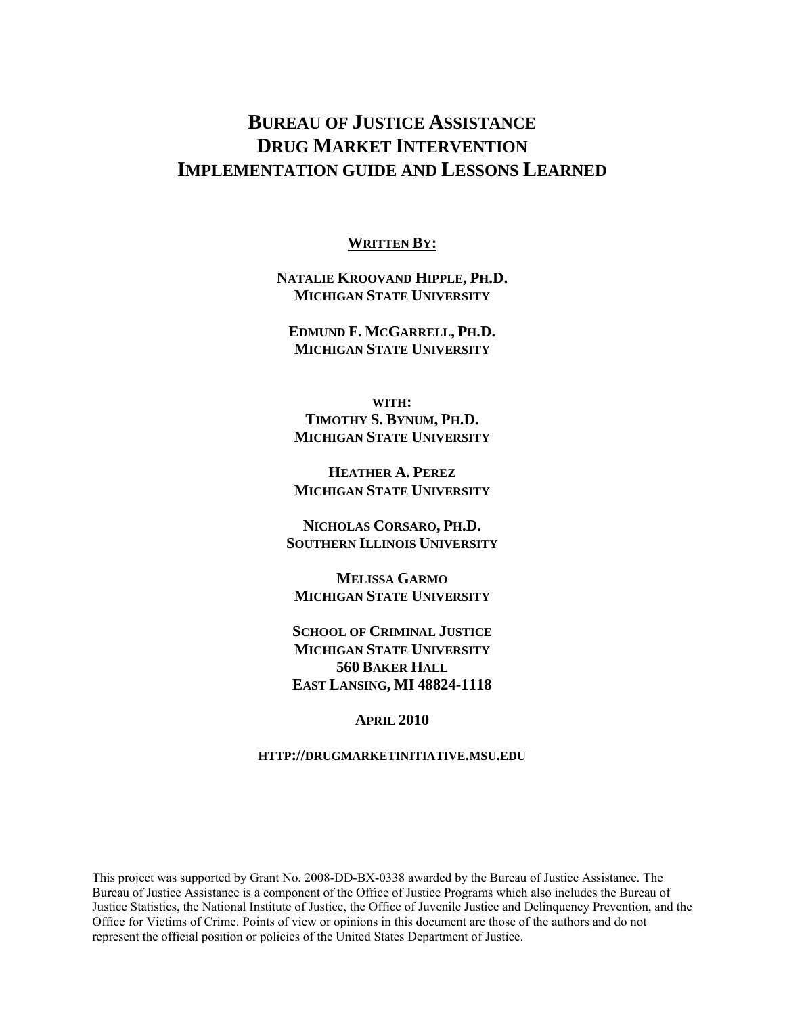# **BUREAU OF JUSTICE ASSISTANCE DRUG MARKET INTERVENTION IMPLEMENTATION GUIDE AND LESSONS LEARNED**

#### **WRITTEN BY:**

**NATALIE KROOVAND HIPPLE, PH.D. MICHIGAN STATE UNIVERSITY**

**EDMUND F. MCGARRELL, PH.D. MICHIGAN STATE UNIVERSITY**

**WITH: TIMOTHY S. BYNUM, PH.D. MICHIGAN STATE UNIVERSITY**

**HEATHER A. PEREZ MICHIGAN STATE UNIVERSITY**

**NICHOLAS CORSARO, PH.D. SOUTHERN ILLINOIS UNIVERSITY**

**MELISSA GARMO MICHIGAN STATE UNIVERSITY**

**SCHOOL OF CRIMINAL JUSTICE MICHIGAN STATE UNIVERSITY 560 BAKER HALL EAST LANSING, MI 48824-1118** 

**APRIL 2010** 

**HTTP://DRUGMARKETINITIATIVE.MSU.EDU**

This project was supported by Grant No. 2008-DD-BX-0338 awarded by the Bureau of Justice Assistance. The Bureau of Justice Assistance is a component of the Office of Justice Programs which also includes the Bureau of Justice Statistics, the National Institute of Justice, the Office of Juvenile Justice and Delinquency Prevention, and the Office for Victims of Crime. Points of view or opinions in this document are those of the authors and do not represent the official position or policies of the United States Department of Justice.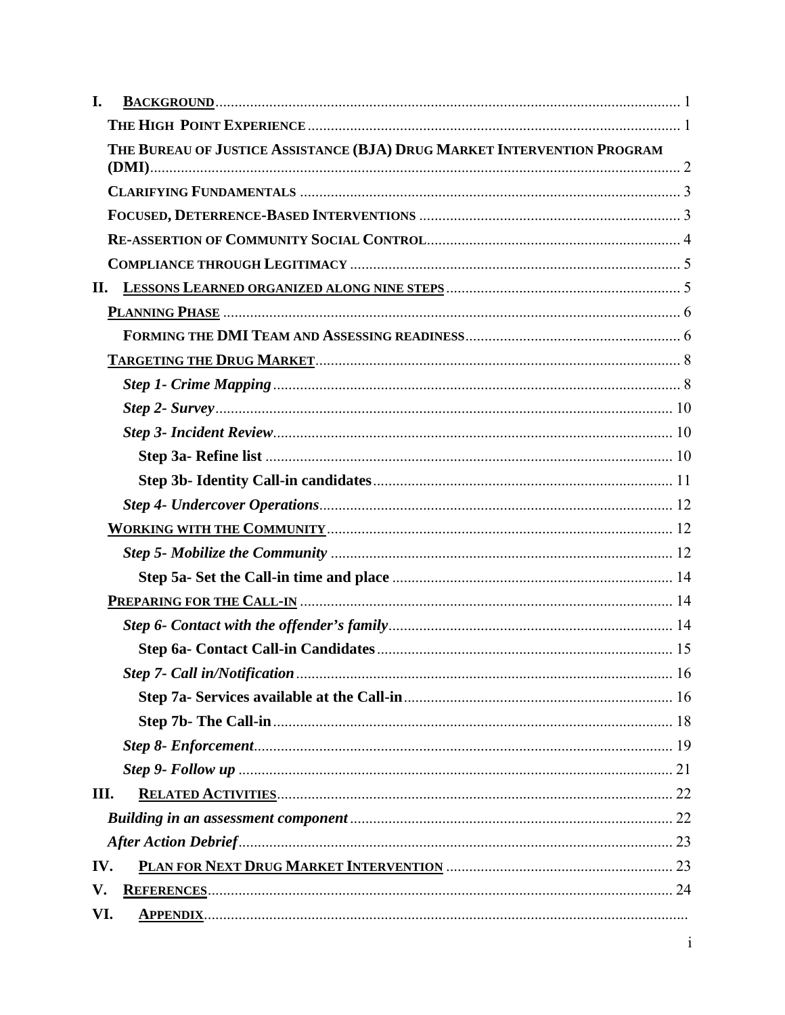| I.  |                                                                         |  |
|-----|-------------------------------------------------------------------------|--|
|     |                                                                         |  |
|     | THE BUREAU OF JUSTICE ASSISTANCE (BJA) DRUG MARKET INTERVENTION PROGRAM |  |
|     |                                                                         |  |
|     |                                                                         |  |
|     |                                                                         |  |
|     |                                                                         |  |
| П.  |                                                                         |  |
|     |                                                                         |  |
|     |                                                                         |  |
|     |                                                                         |  |
|     |                                                                         |  |
|     |                                                                         |  |
|     |                                                                         |  |
|     |                                                                         |  |
|     |                                                                         |  |
|     |                                                                         |  |
|     |                                                                         |  |
|     |                                                                         |  |
|     |                                                                         |  |
|     |                                                                         |  |
|     |                                                                         |  |
|     |                                                                         |  |
|     |                                                                         |  |
|     |                                                                         |  |
|     |                                                                         |  |
|     |                                                                         |  |
|     |                                                                         |  |
| Ш.  |                                                                         |  |
|     |                                                                         |  |
|     |                                                                         |  |
| IV. |                                                                         |  |
| V.  |                                                                         |  |
| VI. |                                                                         |  |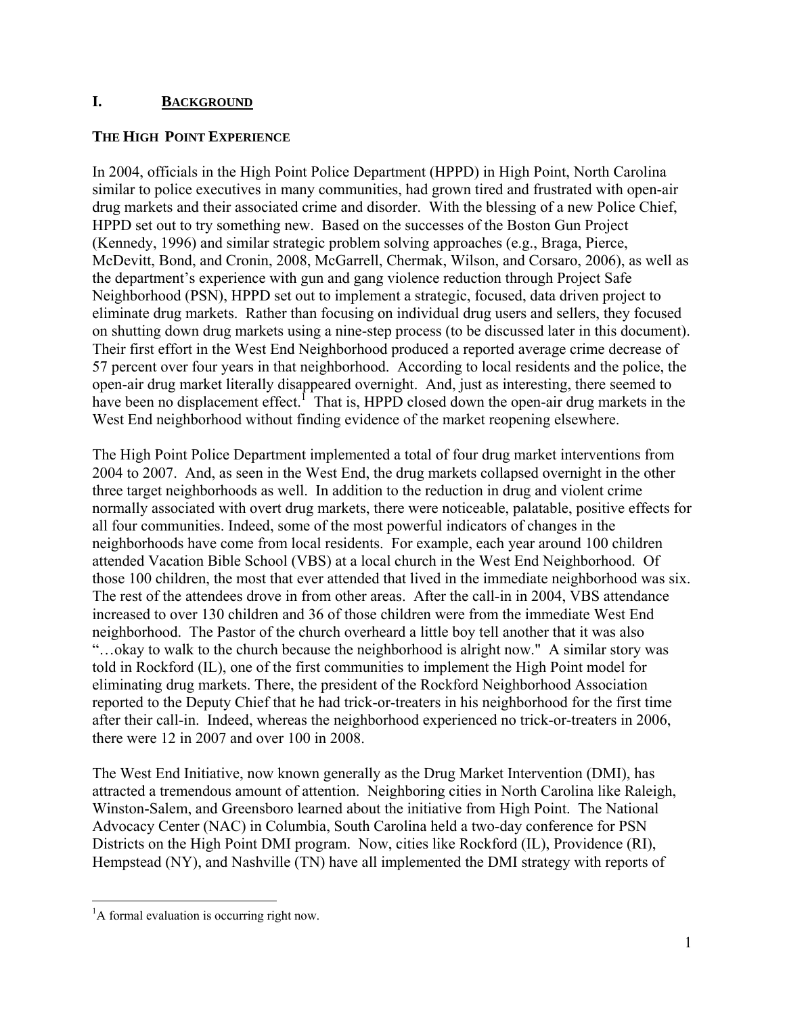#### **I. BACKGROUND**

#### **THE HIGH POINT EXPERIENCE**

In 2004, officials in the High Point Police Department (HPPD) in High Point, North Carolina similar to police executives in many communities, had grown tired and frustrated with open-air drug markets and their associated crime and disorder. With the blessing of a new Police Chief, HPPD set out to try something new. Based on the successes of the Boston Gun Project (Kennedy, 1996) and similar strategic problem solving approaches (e.g., Braga, Pierce, McDevitt, Bond, and Cronin, 2008, McGarrell, Chermak, Wilson, and Corsaro, 2006), as well as the department's experience with gun and gang violence reduction through Project Safe Neighborhood (PSN), HPPD set out to implement a strategic, focused, data driven project to eliminate drug markets. Rather than focusing on individual drug users and sellers, they focused on shutting down drug markets using a nine-step process (to be discussed later in this document). Their first effort in the West End Neighborhood produced a reported average crime decrease of 57 percent over four years in that neighborhood. According to local residents and the police, the open-air drug market literally disappeared overnight. And, just as interesting, there seemed to have been no displacement effect.<sup>1</sup> That is, HPPD closed down the open-air drug markets in the West End neighborhood without finding evidence of the market reopening elsewhere.

The High Point Police Department implemented a total of four drug market interventions from 2004 to 2007. And, as seen in the West End, the drug markets collapsed overnight in the other three target neighborhoods as well. In addition to the reduction in drug and violent crime normally associated with overt drug markets, there were noticeable, palatable, positive effects for all four communities. Indeed, some of the most powerful indicators of changes in the neighborhoods have come from local residents. For example, each year around 100 children attended Vacation Bible School (VBS) at a local church in the West End Neighborhood. Of those 100 children, the most that ever attended that lived in the immediate neighborhood was six. The rest of the attendees drove in from other areas. After the call-in in 2004, VBS attendance increased to over 130 children and 36 of those children were from the immediate West End neighborhood. The Pastor of the church overheard a little boy tell another that it was also "…okay to walk to the church because the neighborhood is alright now." A similar story was told in Rockford (IL), one of the first communities to implement the High Point model for eliminating drug markets. There, the president of the Rockford Neighborhood Association reported to the Deputy Chief that he had trick-or-treaters in his neighborhood for the first time after their call-in. Indeed, whereas the neighborhood experienced no trick-or-treaters in 2006, there were 12 in 2007 and over 100 in 2008.

The West End Initiative, now known generally as the Drug Market Intervention (DMI), has attracted a tremendous amount of attention. Neighboring cities in North Carolina like Raleigh, Winston-Salem, and Greensboro learned about the initiative from High Point. The National Advocacy Center (NAC) in Columbia, South Carolina held a two-day conference for PSN Districts on the High Point DMI program. Now, cities like Rockford (IL), Providence (RI), Hempstead (NY), and Nashville (TN) have all implemented the DMI strategy with reports of

 $\overline{a}$ 

<sup>&</sup>lt;sup>1</sup>A formal evaluation is occurring right now.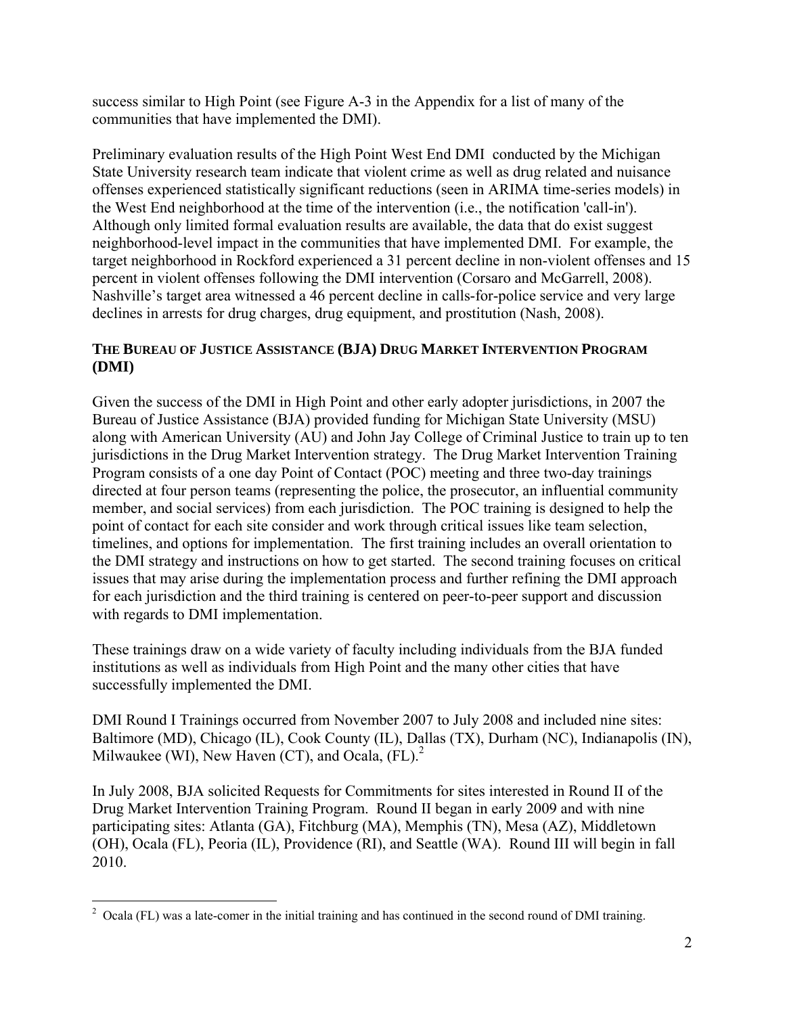success similar to High Point (see Figure A-3 in the Appendix for a list of many of the communities that have implemented the DMI).

Preliminary evaluation results of the High Point West End DMI conducted by the Michigan State University research team indicate that violent crime as well as drug related and nuisance offenses experienced statistically significant reductions (seen in ARIMA time-series models) in the West End neighborhood at the time of the intervention (i.e., the notification 'call-in'). Although only limited formal evaluation results are available, the data that do exist suggest neighborhood-level impact in the communities that have implemented DMI. For example, the target neighborhood in Rockford experienced a 31 percent decline in non-violent offenses and 15 percent in violent offenses following the DMI intervention (Corsaro and McGarrell, 2008). Nashville's target area witnessed a 46 percent decline in calls-for-police service and very large declines in arrests for drug charges, drug equipment, and prostitution (Nash, 2008).

## **THE BUREAU OF JUSTICE ASSISTANCE (BJA) DRUG MARKET INTERVENTION PROGRAM (DMI)**

Given the success of the DMI in High Point and other early adopter jurisdictions, in 2007 the Bureau of Justice Assistance (BJA) provided funding for Michigan State University (MSU) along with American University (AU) and John Jay College of Criminal Justice to train up to ten jurisdictions in the Drug Market Intervention strategy. The Drug Market Intervention Training Program consists of a one day Point of Contact (POC) meeting and three two-day trainings directed at four person teams (representing the police, the prosecutor, an influential community member, and social services) from each jurisdiction. The POC training is designed to help the point of contact for each site consider and work through critical issues like team selection, timelines, and options for implementation. The first training includes an overall orientation to the DMI strategy and instructions on how to get started. The second training focuses on critical issues that may arise during the implementation process and further refining the DMI approach for each jurisdiction and the third training is centered on peer-to-peer support and discussion with regards to DMI implementation.

These trainings draw on a wide variety of faculty including individuals from the BJA funded institutions as well as individuals from High Point and the many other cities that have successfully implemented the DMI.

DMI Round I Trainings occurred from November 2007 to July 2008 and included nine sites: Baltimore (MD), Chicago (IL), Cook County (IL), Dallas (TX), Durham (NC), Indianapolis (IN), Milwaukee (WI), New Haven (CT), and Ocala,  $(FL)$ .<sup>2</sup>

In July 2008, BJA solicited Requests for Commitments for sites interested in Round II of the Drug Market Intervention Training Program. Round II began in early 2009 and with nine participating sites: Atlanta (GA), Fitchburg (MA), Memphis (TN), Mesa (AZ), Middletown (OH), Ocala (FL), Peoria (IL), Providence (RI), and Seattle (WA). Round III will begin in fall 2010.

 $\overline{a}$  $2$  Ocala (FL) was a late-comer in the initial training and has continued in the second round of DMI training.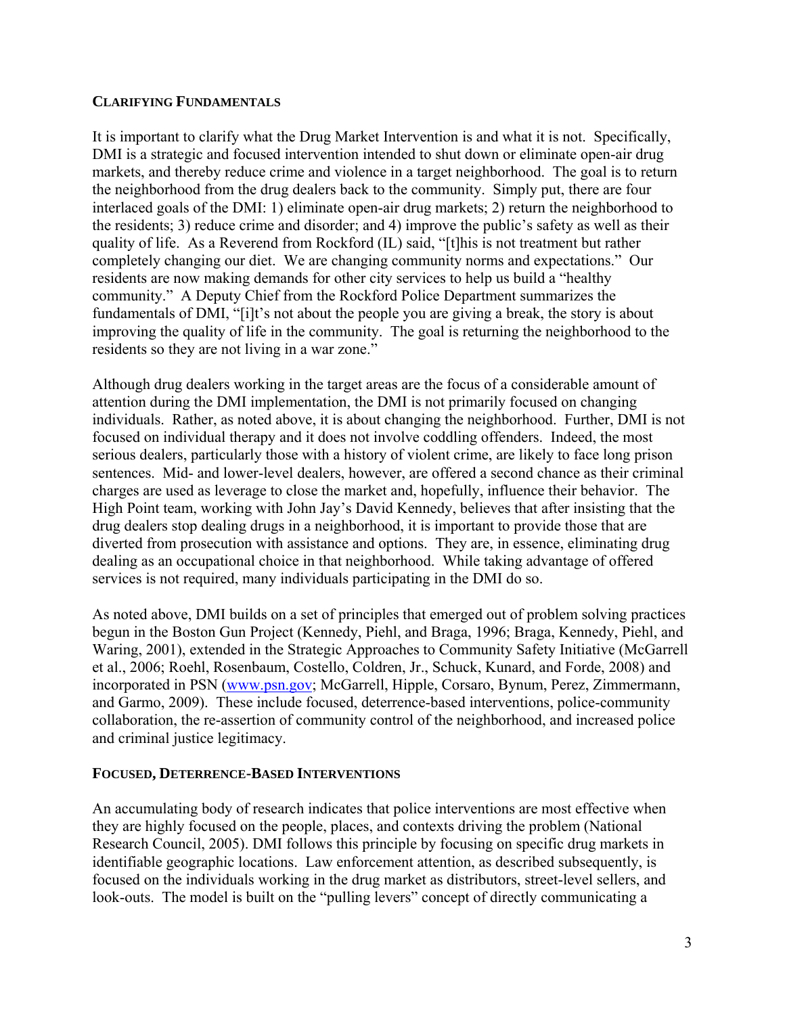#### **CLARIFYING FUNDAMENTALS**

It is important to clarify what the Drug Market Intervention is and what it is not. Specifically, DMI is a strategic and focused intervention intended to shut down or eliminate open-air drug markets, and thereby reduce crime and violence in a target neighborhood. The goal is to return the neighborhood from the drug dealers back to the community. Simply put, there are four interlaced goals of the DMI: 1) eliminate open-air drug markets; 2) return the neighborhood to the residents; 3) reduce crime and disorder; and 4) improve the public's safety as well as their quality of life. As a Reverend from Rockford (IL) said, "[t]his is not treatment but rather completely changing our diet. We are changing community norms and expectations." Our residents are now making demands for other city services to help us build a "healthy community." A Deputy Chief from the Rockford Police Department summarizes the fundamentals of DMI, "[i]t's not about the people you are giving a break, the story is about improving the quality of life in the community. The goal is returning the neighborhood to the residents so they are not living in a war zone."

Although drug dealers working in the target areas are the focus of a considerable amount of attention during the DMI implementation, the DMI is not primarily focused on changing individuals. Rather, as noted above, it is about changing the neighborhood. Further, DMI is not focused on individual therapy and it does not involve coddling offenders. Indeed, the most serious dealers, particularly those with a history of violent crime, are likely to face long prison sentences. Mid- and lower-level dealers, however, are offered a second chance as their criminal charges are used as leverage to close the market and, hopefully, influence their behavior. The High Point team, working with John Jay's David Kennedy, believes that after insisting that the drug dealers stop dealing drugs in a neighborhood, it is important to provide those that are diverted from prosecution with assistance and options. They are, in essence, eliminating drug dealing as an occupational choice in that neighborhood. While taking advantage of offered services is not required, many individuals participating in the DMI do so.

As noted above, DMI builds on a set of principles that emerged out of problem solving practices begun in the Boston Gun Project (Kennedy, Piehl, and Braga, 1996; Braga, Kennedy, Piehl, and Waring, 2001), extended in the Strategic Approaches to Community Safety Initiative (McGarrell et al., 2006; Roehl, Rosenbaum, Costello, Coldren, Jr., Schuck, Kunard, and Forde, 2008) and incorporated in PSN (www.psn.gov; McGarrell, Hipple, Corsaro, Bynum, Perez, Zimmermann, and Garmo, 2009). These include focused, deterrence-based interventions, police-community collaboration, the re-assertion of community control of the neighborhood, and increased police and criminal justice legitimacy.

#### **FOCUSED, DETERRENCE-BASED INTERVENTIONS**

An accumulating body of research indicates that police interventions are most effective when they are highly focused on the people, places, and contexts driving the problem (National Research Council, 2005). DMI follows this principle by focusing on specific drug markets in identifiable geographic locations. Law enforcement attention, as described subsequently, is focused on the individuals working in the drug market as distributors, street-level sellers, and look-outs. The model is built on the "pulling levers" concept of directly communicating a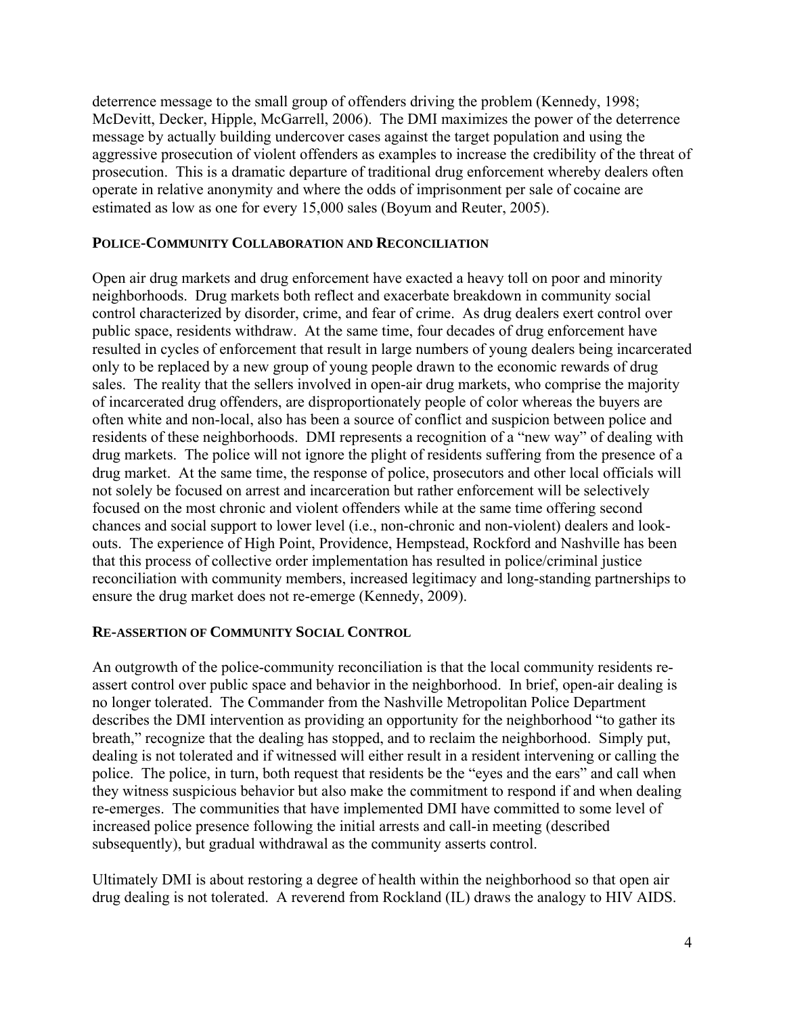deterrence message to the small group of offenders driving the problem (Kennedy, 1998; McDevitt, Decker, Hipple, McGarrell, 2006). The DMI maximizes the power of the deterrence message by actually building undercover cases against the target population and using the aggressive prosecution of violent offenders as examples to increase the credibility of the threat of prosecution. This is a dramatic departure of traditional drug enforcement whereby dealers often operate in relative anonymity and where the odds of imprisonment per sale of cocaine are estimated as low as one for every 15,000 sales (Boyum and Reuter, 2005).

#### **POLICE-COMMUNITY COLLABORATION AND RECONCILIATION**

Open air drug markets and drug enforcement have exacted a heavy toll on poor and minority neighborhoods. Drug markets both reflect and exacerbate breakdown in community social control characterized by disorder, crime, and fear of crime. As drug dealers exert control over public space, residents withdraw. At the same time, four decades of drug enforcement have resulted in cycles of enforcement that result in large numbers of young dealers being incarcerated only to be replaced by a new group of young people drawn to the economic rewards of drug sales. The reality that the sellers involved in open-air drug markets, who comprise the majority of incarcerated drug offenders, are disproportionately people of color whereas the buyers are often white and non-local, also has been a source of conflict and suspicion between police and residents of these neighborhoods. DMI represents a recognition of a "new way" of dealing with drug markets. The police will not ignore the plight of residents suffering from the presence of a drug market. At the same time, the response of police, prosecutors and other local officials will not solely be focused on arrest and incarceration but rather enforcement will be selectively focused on the most chronic and violent offenders while at the same time offering second chances and social support to lower level (i.e., non-chronic and non-violent) dealers and lookouts. The experience of High Point, Providence, Hempstead, Rockford and Nashville has been that this process of collective order implementation has resulted in police/criminal justice reconciliation with community members, increased legitimacy and long-standing partnerships to ensure the drug market does not re-emerge (Kennedy, 2009).

#### **RE-ASSERTION OF COMMUNITY SOCIAL CONTROL**

An outgrowth of the police-community reconciliation is that the local community residents reassert control over public space and behavior in the neighborhood. In brief, open-air dealing is no longer tolerated. The Commander from the Nashville Metropolitan Police Department describes the DMI intervention as providing an opportunity for the neighborhood "to gather its breath," recognize that the dealing has stopped, and to reclaim the neighborhood. Simply put, dealing is not tolerated and if witnessed will either result in a resident intervening or calling the police. The police, in turn, both request that residents be the "eyes and the ears" and call when they witness suspicious behavior but also make the commitment to respond if and when dealing re-emerges. The communities that have implemented DMI have committed to some level of increased police presence following the initial arrests and call-in meeting (described subsequently), but gradual withdrawal as the community asserts control.

Ultimately DMI is about restoring a degree of health within the neighborhood so that open air drug dealing is not tolerated. A reverend from Rockland (IL) draws the analogy to HIV AIDS.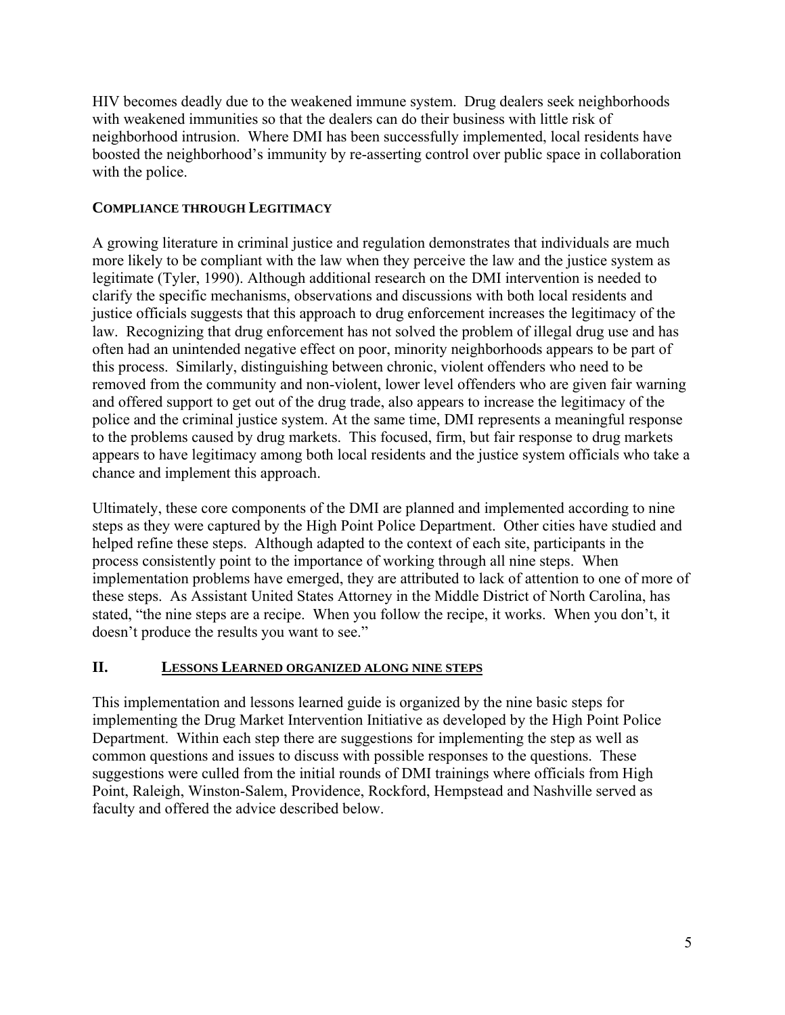HIV becomes deadly due to the weakened immune system. Drug dealers seek neighborhoods with weakened immunities so that the dealers can do their business with little risk of neighborhood intrusion. Where DMI has been successfully implemented, local residents have boosted the neighborhood's immunity by re-asserting control over public space in collaboration with the police.

#### **COMPLIANCE THROUGH LEGITIMACY**

A growing literature in criminal justice and regulation demonstrates that individuals are much more likely to be compliant with the law when they perceive the law and the justice system as legitimate (Tyler, 1990). Although additional research on the DMI intervention is needed to clarify the specific mechanisms, observations and discussions with both local residents and justice officials suggests that this approach to drug enforcement increases the legitimacy of the law. Recognizing that drug enforcement has not solved the problem of illegal drug use and has often had an unintended negative effect on poor, minority neighborhoods appears to be part of this process. Similarly, distinguishing between chronic, violent offenders who need to be removed from the community and non-violent, lower level offenders who are given fair warning and offered support to get out of the drug trade, also appears to increase the legitimacy of the police and the criminal justice system. At the same time, DMI represents a meaningful response to the problems caused by drug markets. This focused, firm, but fair response to drug markets appears to have legitimacy among both local residents and the justice system officials who take a chance and implement this approach.

Ultimately, these core components of the DMI are planned and implemented according to nine steps as they were captured by the High Point Police Department. Other cities have studied and helped refine these steps. Although adapted to the context of each site, participants in the process consistently point to the importance of working through all nine steps. When implementation problems have emerged, they are attributed to lack of attention to one of more of these steps. As Assistant United States Attorney in the Middle District of North Carolina, has stated, "the nine steps are a recipe. When you follow the recipe, it works. When you don't, it doesn't produce the results you want to see."

#### **II. LESSONS LEARNED ORGANIZED ALONG NINE STEPS**

This implementation and lessons learned guide is organized by the nine basic steps for implementing the Drug Market Intervention Initiative as developed by the High Point Police Department. Within each step there are suggestions for implementing the step as well as common questions and issues to discuss with possible responses to the questions. These suggestions were culled from the initial rounds of DMI trainings where officials from High Point, Raleigh, Winston-Salem, Providence, Rockford, Hempstead and Nashville served as faculty and offered the advice described below.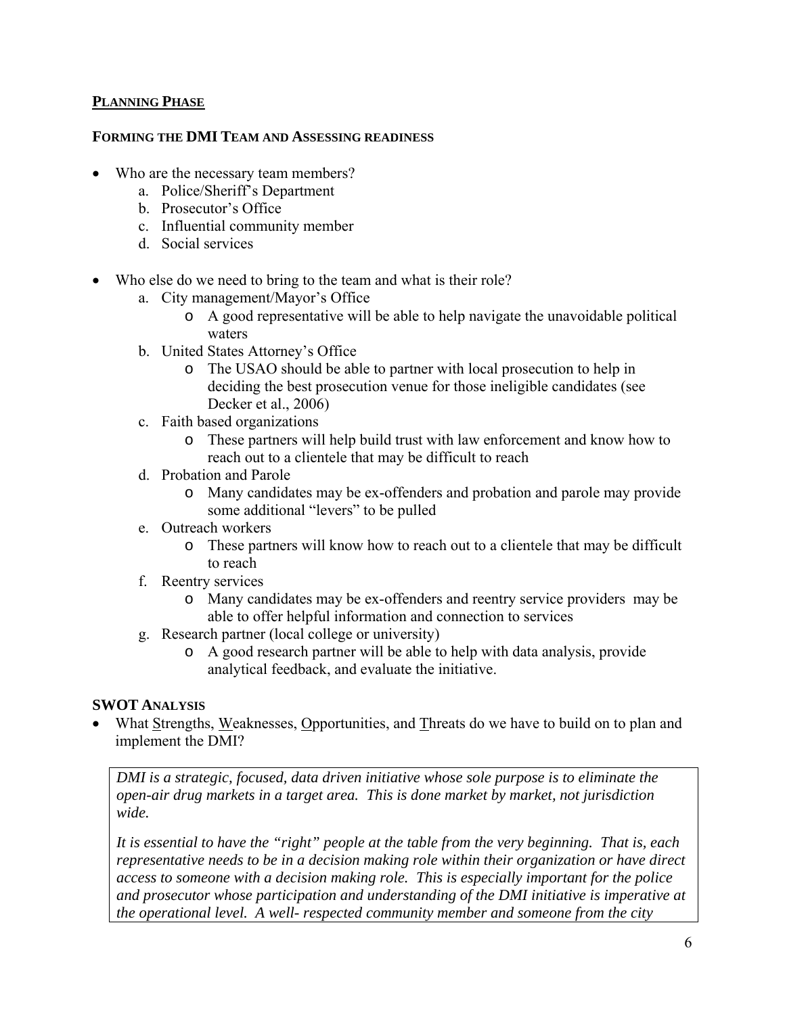#### **PLANNING PHASE**

#### **FORMING THE DMI TEAM AND ASSESSING READINESS**

- Who are the necessary team members?
	- a. Police/Sheriff's Department
	- b. Prosecutor's Office
	- c. Influential community member
	- d. Social services
- Who else do we need to bring to the team and what is their role?
	- a. City management/Mayor's Office
		- o A good representative will be able to help navigate the unavoidable political waters
	- b. United States Attorney's Office
		- o The USAO should be able to partner with local prosecution to help in deciding the best prosecution venue for those ineligible candidates (see Decker et al., 2006)
	- c. Faith based organizations
		- o These partners will help build trust with law enforcement and know how to reach out to a clientele that may be difficult to reach
	- d. Probation and Parole
		- o Many candidates may be ex-offenders and probation and parole may provide some additional "levers" to be pulled
	- e. Outreach workers
		- o These partners will know how to reach out to a clientele that may be difficult to reach
	- f. Reentry services
		- o Many candidates may be ex-offenders and reentry service providers may be able to offer helpful information and connection to services
	- g. Research partner (local college or university)
		- o A good research partner will be able to help with data analysis, provide analytical feedback, and evaluate the initiative.

#### **SWOT ANALYSIS**

• What Strengths, Weaknesses, Opportunities, and Threats do we have to build on to plan and implement the DMI?

*DMI is a strategic, focused, data driven initiative whose sole purpose is to eliminate the open-air drug markets in a target area. This is done market by market, not jurisdiction wide.* 

*It is essential to have the "right" people at the table from the very beginning. That is, each representative needs to be in a decision making role within their organization or have direct access to someone with a decision making role. This is especially important for the police and prosecutor whose participation and understanding of the DMI initiative is imperative at the operational level. A well- respected community member and someone from the city*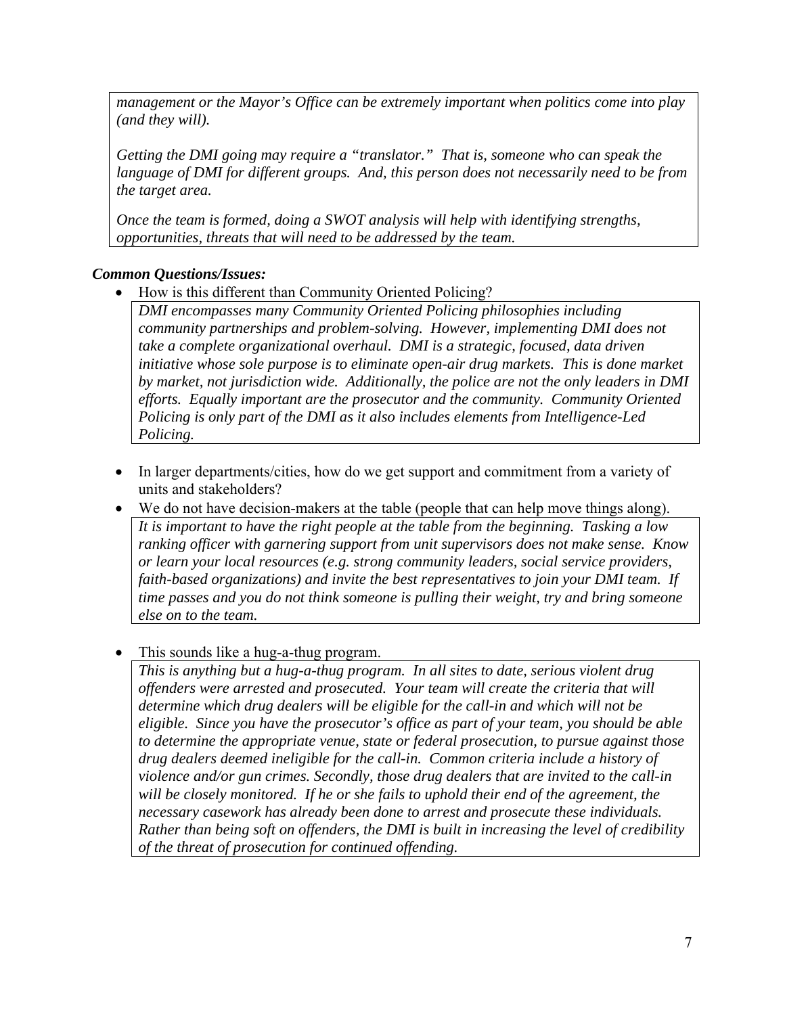*management or the Mayor's Office can be extremely important when politics come into play (and they will).* 

*Getting the DMI going may require a "translator." That is, someone who can speak the language of DMI for different groups. And, this person does not necessarily need to be from the target area.* 

*Once the team is formed, doing a SWOT analysis will help with identifying strengths, opportunities, threats that will need to be addressed by the team.* 

## *Common Questions/Issues:*

• How is this different than Community Oriented Policing?

*DMI encompasses many Community Oriented Policing philosophies including community partnerships and problem-solving. However, implementing DMI does not take a complete organizational overhaul. DMI is a strategic, focused, data driven initiative whose sole purpose is to eliminate open-air drug markets. This is done market by market, not jurisdiction wide. Additionally, the police are not the only leaders in DMI efforts. Equally important are the prosecutor and the community. Community Oriented Policing is only part of the DMI as it also includes elements from Intelligence-Led Policing.* 

- In larger departments/cities, how do we get support and commitment from a variety of units and stakeholders?
- We do not have decision-makers at the table (people that can help move things along). *It is important to have the right people at the table from the beginning. Tasking a low ranking officer with garnering support from unit supervisors does not make sense. Know or learn your local resources (e.g. strong community leaders, social service providers, faith-based organizations) and invite the best representatives to join your DMI team. If time passes and you do not think someone is pulling their weight, try and bring someone else on to the team.*
- This sounds like a hug-a-thug program.

*This is anything but a hug-a-thug program. In all sites to date, serious violent drug offenders were arrested and prosecuted. Your team will create the criteria that will determine which drug dealers will be eligible for the call-in and which will not be eligible. Since you have the prosecutor's office as part of your team, you should be able to determine the appropriate venue, state or federal prosecution, to pursue against those drug dealers deemed ineligible for the call-in. Common criteria include a history of violence and/or gun crimes. Secondly, those drug dealers that are invited to the call-in will be closely monitored. If he or she fails to uphold their end of the agreement, the necessary casework has already been done to arrest and prosecute these individuals. Rather than being soft on offenders, the DMI is built in increasing the level of credibility of the threat of prosecution for continued offending.*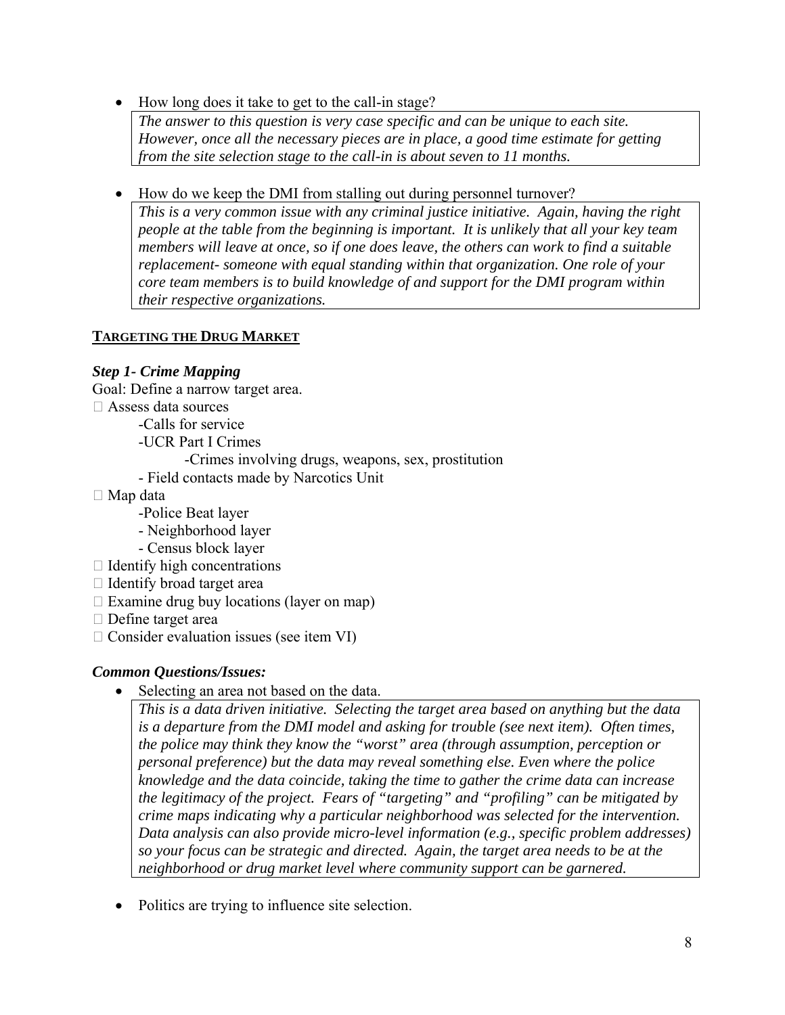• How long does it take to get to the call-in stage?

*The answer to this question is very case specific and can be unique to each site. However, once all the necessary pieces are in place, a good time estimate for getting from the site selection stage to the call-in is about seven to 11 months.* 

• How do we keep the DMI from stalling out during personnel turnover?

*This is a very common issue with any criminal justice initiative. Again, having the right people at the table from the beginning is important. It is unlikely that all your key team members will leave at once, so if one does leave, the others can work to find a suitable replacement- someone with equal standing within that organization. One role of your core team members is to build knowledge of and support for the DMI program within their respective organizations.* 

## **TARGETING THE DRUG MARKET**

## *Step 1- Crime Mapping*

Goal: Define a narrow target area.

- Assess data sources
	- -Calls for service
	- -UCR Part I Crimes
		- -Crimes involving drugs, weapons, sex, prostitution
	- Field contacts made by Narcotics Unit
- $\Box$  Map data
	- -Police Beat layer
	- Neighborhood layer
	- Census block layer
- $\Box$  Identify high concentrations
- $\Box$  Identify broad target area
- $\Box$  Examine drug buy locations (layer on map)
- $\Box$  Define target area
- $\Box$  Consider evaluation issues (see item VI)

#### *Common Questions/Issues:*

• Selecting an area not based on the data.

*This is a data driven initiative. Selecting the target area based on anything but the data is a departure from the DMI model and asking for trouble (see next item). Often times, the police may think they know the "worst" area (through assumption, perception or personal preference) but the data may reveal something else. Even where the police knowledge and the data coincide, taking the time to gather the crime data can increase the legitimacy of the project. Fears of "targeting" and "profiling" can be mitigated by crime maps indicating why a particular neighborhood was selected for the intervention. Data analysis can also provide micro-level information (e.g., specific problem addresses) so your focus can be strategic and directed. Again, the target area needs to be at the neighborhood or drug market level where community support can be garnered.* 

• Politics are trying to influence site selection.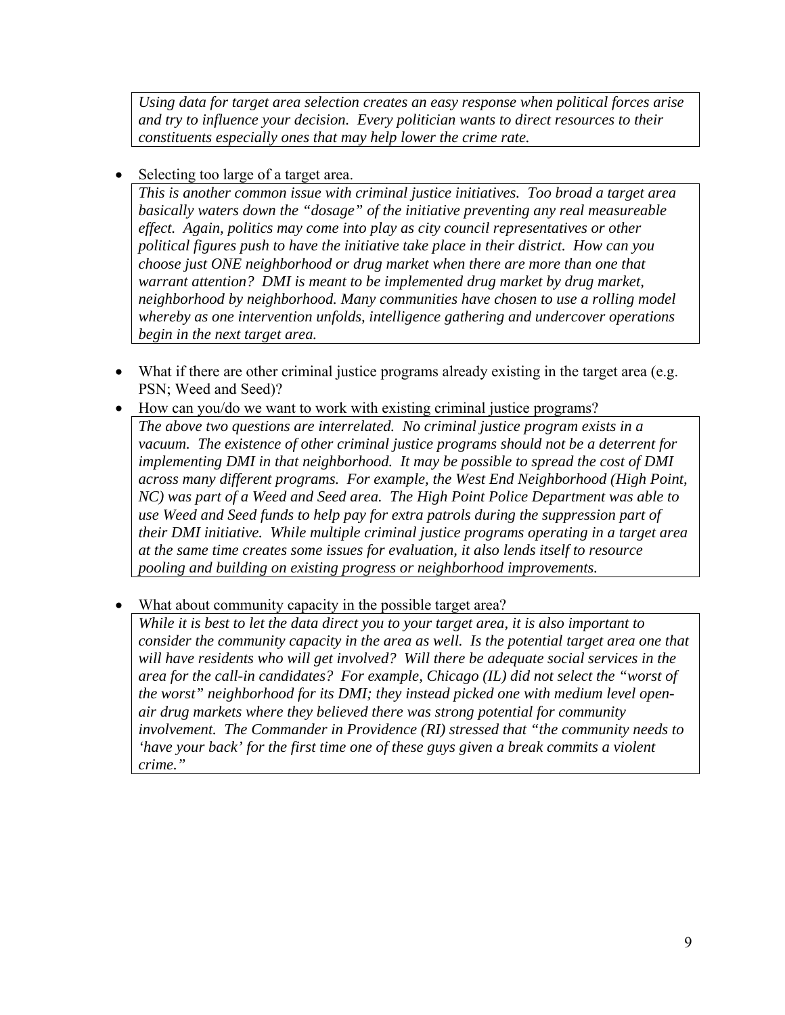*Using data for target area selection creates an easy response when political forces arise and try to influence your decision. Every politician wants to direct resources to their constituents especially ones that may help lower the crime rate.* 

• Selecting too large of a target area.

*This is another common issue with criminal justice initiatives. Too broad a target area basically waters down the "dosage" of the initiative preventing any real measureable effect. Again, politics may come into play as city council representatives or other political figures push to have the initiative take place in their district. How can you choose just ONE neighborhood or drug market when there are more than one that warrant attention? DMI is meant to be implemented drug market by drug market, neighborhood by neighborhood. Many communities have chosen to use a rolling model whereby as one intervention unfolds, intelligence gathering and undercover operations begin in the next target area.* 

- What if there are other criminal justice programs already existing in the target area (e.g. PSN; Weed and Seed)?
- How can you/do we want to work with existing criminal justice programs? *The above two questions are interrelated. No criminal justice program exists in a vacuum. The existence of other criminal justice programs should not be a deterrent for implementing DMI in that neighborhood. It may be possible to spread the cost of DMI across many different programs. For example, the West End Neighborhood (High Point, NC) was part of a Weed and Seed area. The High Point Police Department was able to use Weed and Seed funds to help pay for extra patrols during the suppression part of their DMI initiative. While multiple criminal justice programs operating in a target area at the same time creates some issues for evaluation, it also lends itself to resource pooling and building on existing progress or neighborhood improvements.*
- What about community capacity in the possible target area?

*While it is best to let the data direct you to your target area, it is also important to consider the community capacity in the area as well. Is the potential target area one that will have residents who will get involved? Will there be adequate social services in the area for the call-in candidates? For example, Chicago (IL) did not select the "worst of the worst" neighborhood for its DMI; they instead picked one with medium level openair drug markets where they believed there was strong potential for community involvement. The Commander in Providence (RI) stressed that "the community needs to 'have your back' for the first time one of these guys given a break commits a violent crime."*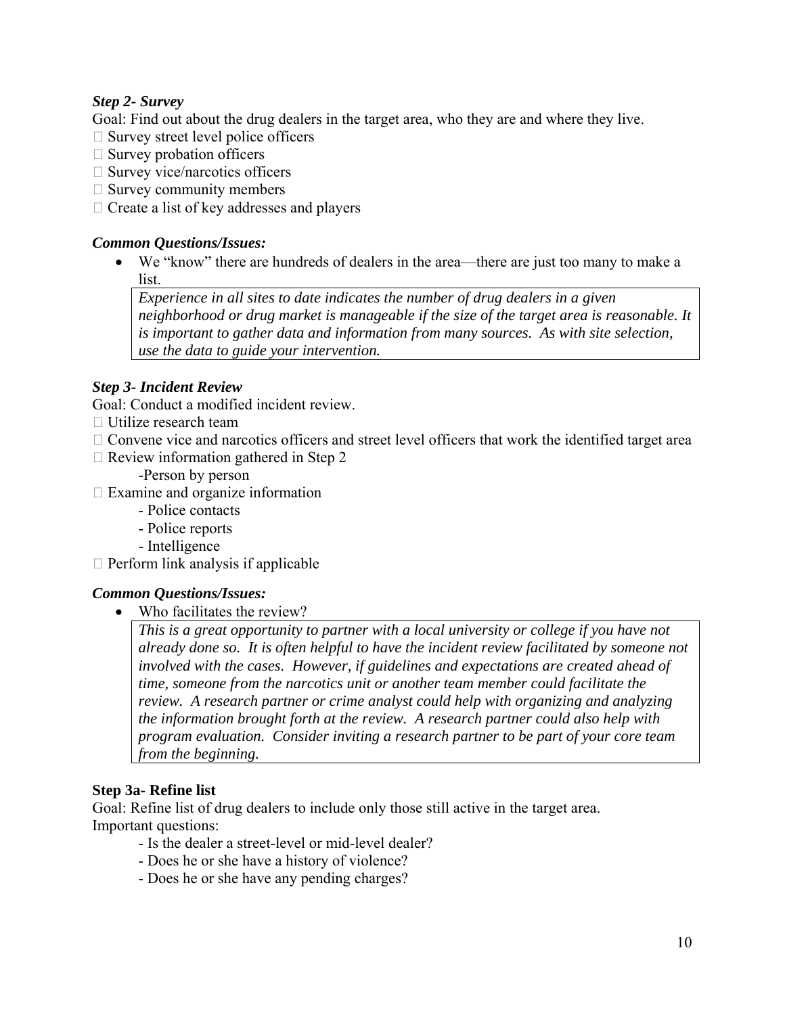## *Step 2- Survey*

Goal: Find out about the drug dealers in the target area, who they are and where they live.

- $\Box$  Survey street level police officers
- $\Box$  Survey probation officers
- $\square$  Survey vice/narcotics officers
- $\Box$  Survey community members
- $\Box$  Create a list of key addresses and players

#### *Common Questions/Issues:*

• We "know" there are hundreds of dealers in the area—there are just too many to make a list.

*Experience in all sites to date indicates the number of drug dealers in a given neighborhood or drug market is manageable if the size of the target area is reasonable. It is important to gather data and information from many sources. As with site selection, use the data to guide your intervention.* 

#### *Step 3- Incident Review*

Goal: Conduct a modified incident review.

- $\Box$  Utilize research team
- $\Box$  Convene vice and narcotics officers and street level officers that work the identified target area
- $\Box$  Review information gathered in Step 2
	- -Person by person
- $\Box$  Examine and organize information
	- Police contacts
	- Police reports
	- Intelligence
- $\Box$  Perform link analysis if applicable

#### *Common Questions/Issues:*

• Who facilitates the review?

*This is a great opportunity to partner with a local university or college if you have not already done so. It is often helpful to have the incident review facilitated by someone not involved with the cases. However, if guidelines and expectations are created ahead of time, someone from the narcotics unit or another team member could facilitate the review. A research partner or crime analyst could help with organizing and analyzing the information brought forth at the review. A research partner could also help with program evaluation. Consider inviting a research partner to be part of your core team from the beginning.* 

#### **Step 3a- Refine list**

Goal: Refine list of drug dealers to include only those still active in the target area. Important questions:

- Is the dealer a street-level or mid-level dealer?
- Does he or she have a history of violence?
- Does he or she have any pending charges?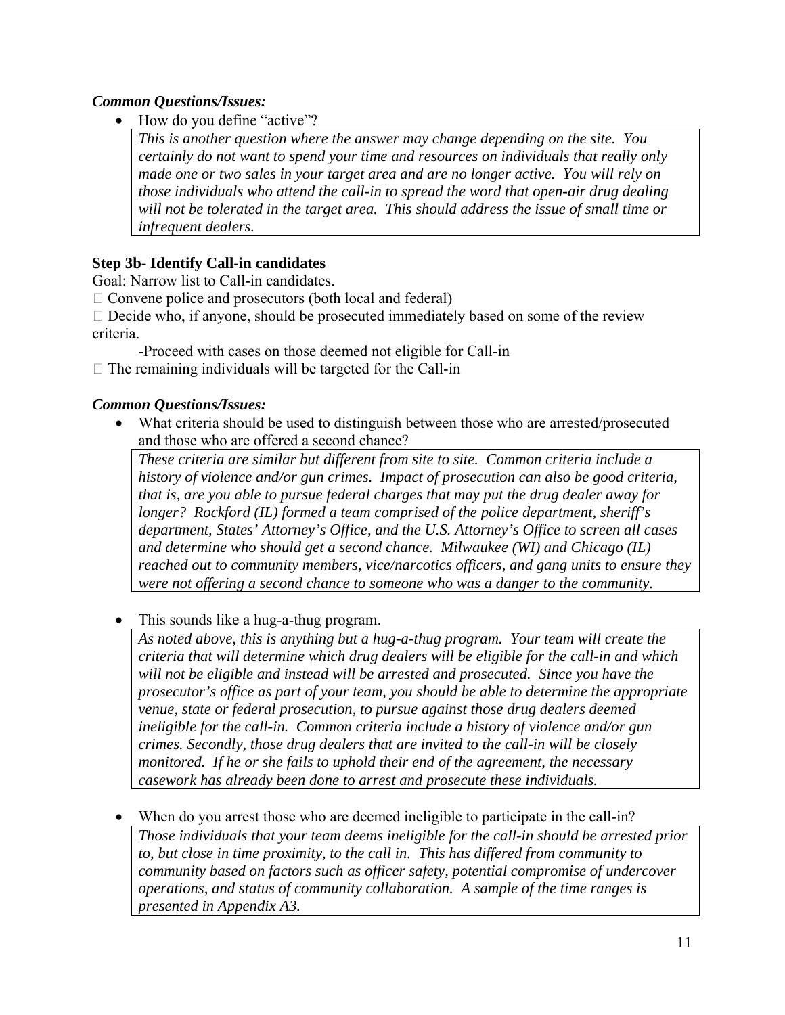## *Common Questions/Issues:*

How do you define "active"?

*This is another question where the answer may change depending on the site. You certainly do not want to spend your time and resources on individuals that really only made one or two sales in your target area and are no longer active. You will rely on those individuals who attend the call-in to spread the word that open-air drug dealing will not be tolerated in the target area. This should address the issue of small time or infrequent dealers.* 

## **Step 3b- Identify Call-in candidates**

Goal: Narrow list to Call-in candidates.

 $\Box$  Convene police and prosecutors (both local and federal)

 $\Box$  Decide who, if anyone, should be prosecuted immediately based on some of the review criteria.

-Proceed with cases on those deemed not eligible for Call-in

 $\Box$  The remaining individuals will be targeted for the Call-in

#### *Common Questions/Issues:*

• What criteria should be used to distinguish between those who are arrested/prosecuted and those who are offered a second chance?

*These criteria are similar but different from site to site. Common criteria include a history of violence and/or gun crimes. Impact of prosecution can also be good criteria, that is, are you able to pursue federal charges that may put the drug dealer away for longer? Rockford (IL) formed a team comprised of the police department, sheriff's department, States' Attorney's Office, and the U.S. Attorney's Office to screen all cases and determine who should get a second chance. Milwaukee (WI) and Chicago (IL) reached out to community members, vice/narcotics officers, and gang units to ensure they were not offering a second chance to someone who was a danger to the community.* 

• This sounds like a hug-a-thug program.

*As noted above, this is anything but a hug-a-thug program. Your team will create the criteria that will determine which drug dealers will be eligible for the call-in and which will not be eligible and instead will be arrested and prosecuted. Since you have the prosecutor's office as part of your team, you should be able to determine the appropriate venue, state or federal prosecution, to pursue against those drug dealers deemed ineligible for the call-in. Common criteria include a history of violence and/or gun crimes. Secondly, those drug dealers that are invited to the call-in will be closely monitored. If he or she fails to uphold their end of the agreement, the necessary casework has already been done to arrest and prosecute these individuals.* 

When do you arrest those who are deemed ineligible to participate in the call-in?

*Those individuals that your team deems ineligible for the call-in should be arrested prior to, but close in time proximity, to the call in. This has differed from community to community based on factors such as officer safety, potential compromise of undercover operations, and status of community collaboration. A sample of the time ranges is presented in Appendix A3.*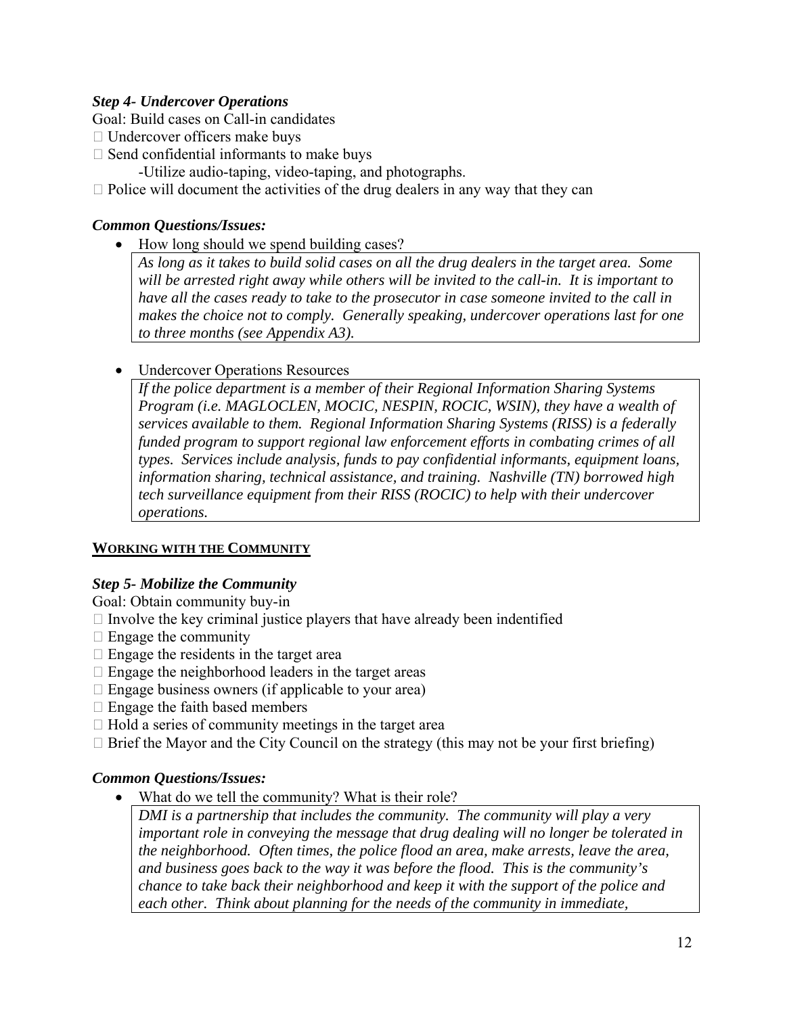## *Step 4- Undercover Operations*

Goal: Build cases on Call-in candidates

- $\Box$  Undercover officers make buys
- $\Box$  Send confidential informants to make buys
	- -Utilize audio-taping, video-taping, and photographs.

 $\Box$  Police will document the activities of the drug dealers in any way that they can

## *Common Questions/Issues:*

• How long should we spend building cases?

*As long as it takes to build solid cases on all the drug dealers in the target area. Some will be arrested right away while others will be invited to the call-in. It is important to have all the cases ready to take to the prosecutor in case someone invited to the call in makes the choice not to comply. Generally speaking, undercover operations last for one to three months (see Appendix A3).* 

• Undercover Operations Resources

*If the police department is a member of their Regional Information Sharing Systems Program (i.e. MAGLOCLEN, MOCIC, NESPIN, ROCIC, WSIN), they have a wealth of services available to them. Regional Information Sharing Systems (RISS) is a federally funded program to support regional law enforcement efforts in combating crimes of all types. Services include analysis, funds to pay confidential informants, equipment loans, information sharing, technical assistance, and training. Nashville (TN) borrowed high tech surveillance equipment from their RISS (ROCIC) to help with their undercover operations.* 

#### **WORKING WITH THE COMMUNITY**

#### *Step 5- Mobilize the Community*

Goal: Obtain community buy-in

- $\Box$  Involve the key criminal justice players that have already been indentified
- $\Box$  Engage the community
- $\Box$  Engage the residents in the target area
- $\Box$  Engage the neighborhood leaders in the target areas
- $\Box$  Engage business owners (if applicable to your area)
- $\Box$  Engage the faith based members
- $\Box$  Hold a series of community meetings in the target area
- $\Box$  Brief the Mayor and the City Council on the strategy (this may not be your first briefing)

#### *Common Questions/Issues:*

What do we tell the community? What is their role?

*DMI is a partnership that includes the community. The community will play a very important role in conveying the message that drug dealing will no longer be tolerated in the neighborhood. Often times, the police flood an area, make arrests, leave the area, and business goes back to the way it was before the flood. This is the community's chance to take back their neighborhood and keep it with the support of the police and each other. Think about planning for the needs of the community in immediate,*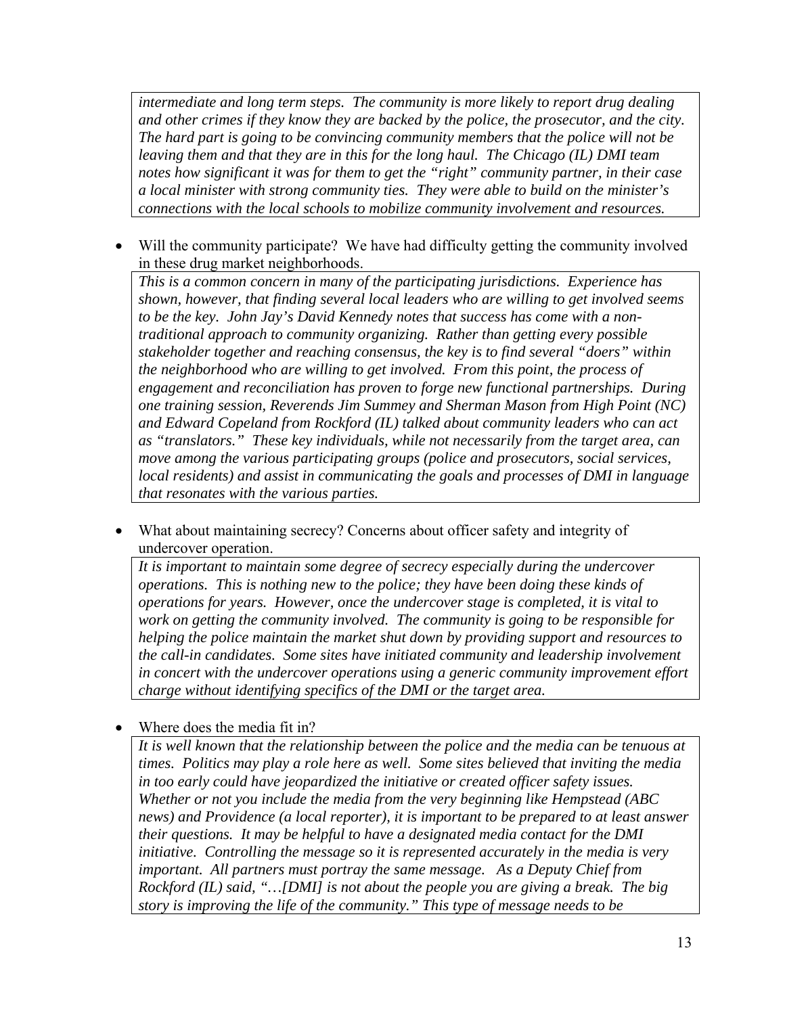*intermediate and long term steps. The community is more likely to report drug dealing and other crimes if they know they are backed by the police, the prosecutor, and the city. The hard part is going to be convincing community members that the police will not be leaving them and that they are in this for the long haul. The Chicago (IL) DMI team notes how significant it was for them to get the "right" community partner, in their case a local minister with strong community ties. They were able to build on the minister's connections with the local schools to mobilize community involvement and resources.* 

Will the community participate? We have had difficulty getting the community involved in these drug market neighborhoods.

*This is a common concern in many of the participating jurisdictions. Experience has shown, however, that finding several local leaders who are willing to get involved seems to be the key. John Jay's David Kennedy notes that success has come with a nontraditional approach to community organizing. Rather than getting every possible stakeholder together and reaching consensus, the key is to find several "doers" within the neighborhood who are willing to get involved. From this point, the process of engagement and reconciliation has proven to forge new functional partnerships. During one training session, Reverends Jim Summey and Sherman Mason from High Point (NC) and Edward Copeland from Rockford (IL) talked about community leaders who can act as "translators." These key individuals, while not necessarily from the target area, can move among the various participating groups (police and prosecutors, social services, local residents) and assist in communicating the goals and processes of DMI in language that resonates with the various parties.* 

• What about maintaining secrecy? Concerns about officer safety and integrity of undercover operation.

*It is important to maintain some degree of secrecy especially during the undercover operations. This is nothing new to the police; they have been doing these kinds of operations for years. However, once the undercover stage is completed, it is vital to work on getting the community involved. The community is going to be responsible for helping the police maintain the market shut down by providing support and resources to the call-in candidates. Some sites have initiated community and leadership involvement in concert with the undercover operations using a generic community improvement effort charge without identifying specifics of the DMI or the target area.* 

Where does the media fit in?

*It is well known that the relationship between the police and the media can be tenuous at times. Politics may play a role here as well. Some sites believed that inviting the media in too early could have jeopardized the initiative or created officer safety issues. Whether or not you include the media from the very beginning like Hempstead (ABC news) and Providence (a local reporter), it is important to be prepared to at least answer their questions. It may be helpful to have a designated media contact for the DMI initiative. Controlling the message so it is represented accurately in the media is very important. All partners must portray the same message. As a Deputy Chief from Rockford (IL) said, "…[DMI] is not about the people you are giving a break. The big story is improving the life of the community." This type of message needs to be*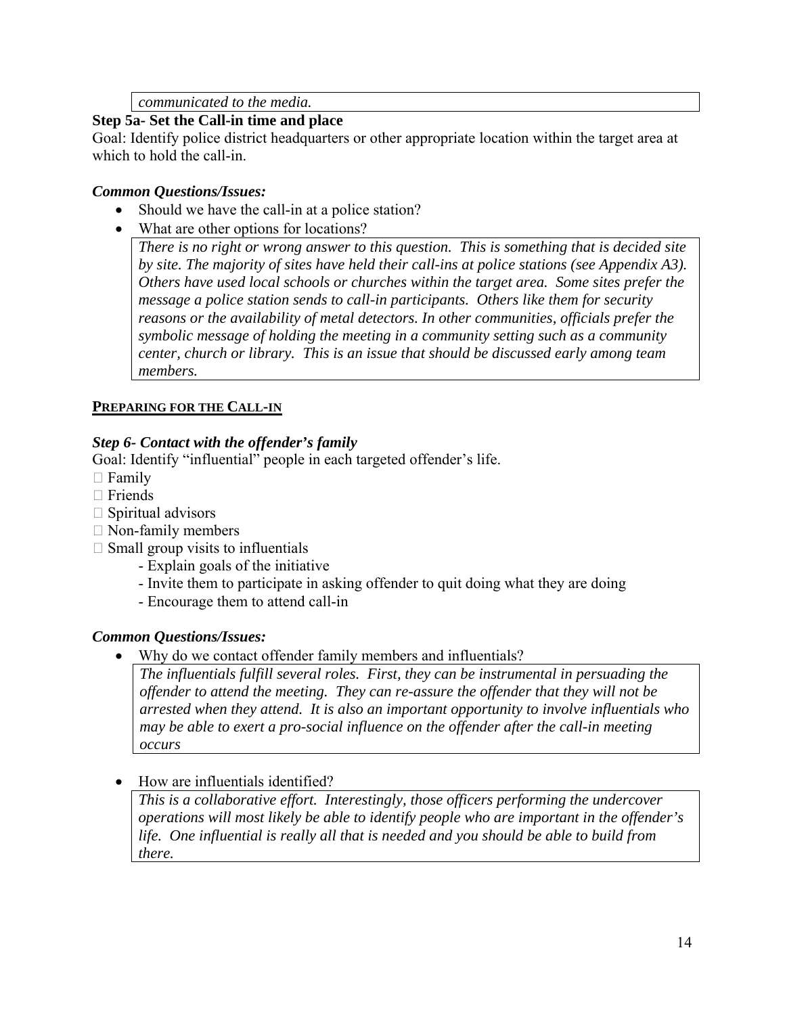*communicated to the media.* 

#### **Step 5a- Set the Call-in time and place**

Goal: Identify police district headquarters or other appropriate location within the target area at which to hold the call-in.

#### *Common Questions/Issues:*

- Should we have the call-in at a police station?
- What are other options for locations?

*There is no right or wrong answer to this question. This is something that is decided site by site. The majority of sites have held their call-ins at police stations (see Appendix A3). Others have used local schools or churches within the target area. Some sites prefer the message a police station sends to call-in participants. Others like them for security reasons or the availability of metal detectors. In other communities, officials prefer the symbolic message of holding the meeting in a community setting such as a community center, church or library. This is an issue that should be discussed early among team members.* 

## **PREPARING FOR THE CALL-IN**

## *Step 6- Contact with the offender's family*

Goal: Identify "influential" people in each targeted offender's life.

- $\Box$  Family
- $\Box$  Friends
- $\Box$  Spiritual advisors
- $\Box$  Non-family members
- $\Box$  Small group visits to influentials
	- Explain goals of the initiative
	- Invite them to participate in asking offender to quit doing what they are doing
	- Encourage them to attend call-in

#### *Common Questions/Issues:*

• Why do we contact offender family members and influentials?

*The influentials fulfill several roles. First, they can be instrumental in persuading the offender to attend the meeting. They can re-assure the offender that they will not be arrested when they attend. It is also an important opportunity to involve influentials who may be able to exert a pro-social influence on the offender after the call-in meeting occurs* 

• How are influentials identified?

*This is a collaborative effort. Interestingly, those officers performing the undercover operations will most likely be able to identify people who are important in the offender's life. One influential is really all that is needed and you should be able to build from there.*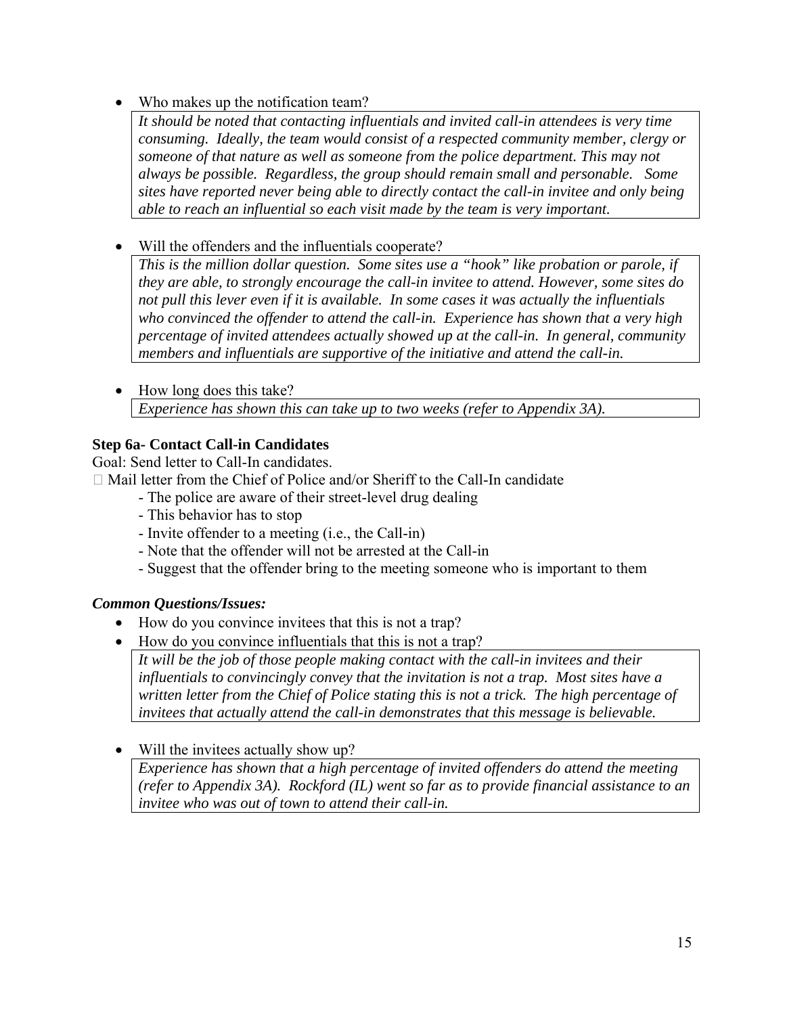Who makes up the notification team?

*It should be noted that contacting influentials and invited call-in attendees is very time consuming. Ideally, the team would consist of a respected community member, clergy or someone of that nature as well as someone from the police department. This may not always be possible. Regardless, the group should remain small and personable. Some sites have reported never being able to directly contact the call-in invitee and only being able to reach an influential so each visit made by the team is very important.* 

Will the offenders and the influentials cooperate?

*This is the million dollar question. Some sites use a "hook" like probation or parole, if they are able, to strongly encourage the call-in invitee to attend. However, some sites do not pull this lever even if it is available. In some cases it was actually the influentials who convinced the offender to attend the call-in. Experience has shown that a very high percentage of invited attendees actually showed up at the call-in. In general, community members and influentials are supportive of the initiative and attend the call-in.* 

• How long does this take? *Experience has shown this can take up to two weeks (refer to Appendix 3A).* 

## **Step 6a- Contact Call-in Candidates**

Goal: Send letter to Call-In candidates.

 $\Box$  Mail letter from the Chief of Police and/or Sheriff to the Call-In candidate

- The police are aware of their street-level drug dealing
- This behavior has to stop
- Invite offender to a meeting (i.e., the Call-in)
- Note that the offender will not be arrested at the Call-in
- Suggest that the offender bring to the meeting someone who is important to them

## *Common Questions/Issues:*

- How do you convince invitees that this is not a trap?
- How do you convince influentials that this is not a trap?

*It will be the job of those people making contact with the call-in invitees and their influentials to convincingly convey that the invitation is not a trap. Most sites have a written letter from the Chief of Police stating this is not a trick. The high percentage of invitees that actually attend the call-in demonstrates that this message is believable.* 

• Will the invitees actually show up?

*Experience has shown that a high percentage of invited offenders do attend the meeting (refer to Appendix 3A). Rockford (IL) went so far as to provide financial assistance to an invitee who was out of town to attend their call-in.*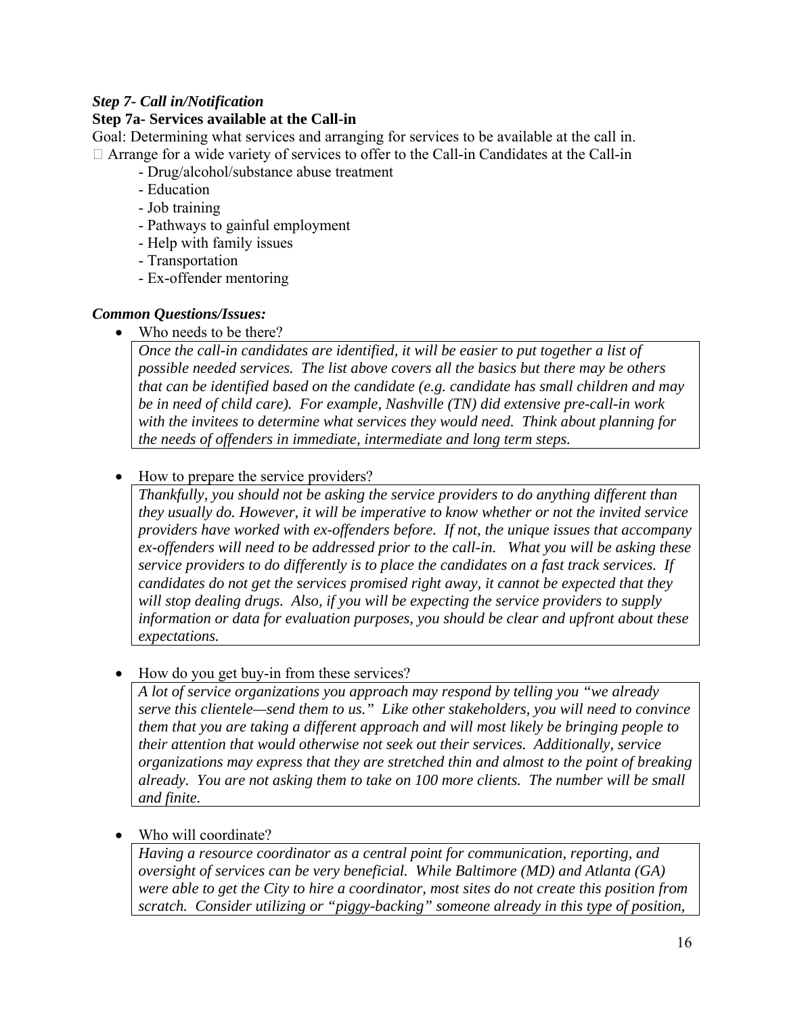## *Step 7- Call in/Notification*

#### **Step 7a- Services available at the Call-in**

Goal: Determining what services and arranging for services to be available at the call in. Arrange for a wide variety of services to offer to the Call-in Candidates at the Call-in

- Drug/alcohol/substance abuse treatment
- Education
- Job training
- Pathways to gainful employment
- Help with family issues
- Transportation
- Ex-offender mentoring

#### *Common Questions/Issues:*

• Who needs to be there?

*Once the call-in candidates are identified, it will be easier to put together a list of possible needed services. The list above covers all the basics but there may be others that can be identified based on the candidate (e.g. candidate has small children and may be in need of child care). For example, Nashville (TN) did extensive pre-call-in work with the invitees to determine what services they would need. Think about planning for the needs of offenders in immediate, intermediate and long term steps.* 

#### • How to prepare the service providers?

*Thankfully, you should not be asking the service providers to do anything different than they usually do. However, it will be imperative to know whether or not the invited service providers have worked with ex-offenders before. If not, the unique issues that accompany ex-offenders will need to be addressed prior to the call-in. What you will be asking these service providers to do differently is to place the candidates on a fast track services. If candidates do not get the services promised right away, it cannot be expected that they will stop dealing drugs. Also, if you will be expecting the service providers to supply information or data for evaluation purposes, you should be clear and upfront about these expectations.* 

#### • How do you get buy-in from these services?

*A lot of service organizations you approach may respond by telling you "we already serve this clientele—send them to us." Like other stakeholders, you will need to convince them that you are taking a different approach and will most likely be bringing people to their attention that would otherwise not seek out their services. Additionally, service organizations may express that they are stretched thin and almost to the point of breaking already. You are not asking them to take on 100 more clients. The number will be small and finite.* 

#### Who will coordinate?

*Having a resource coordinator as a central point for communication, reporting, and oversight of services can be very beneficial. While Baltimore (MD) and Atlanta (GA) were able to get the City to hire a coordinator, most sites do not create this position from scratch. Consider utilizing or "piggy-backing" someone already in this type of position,*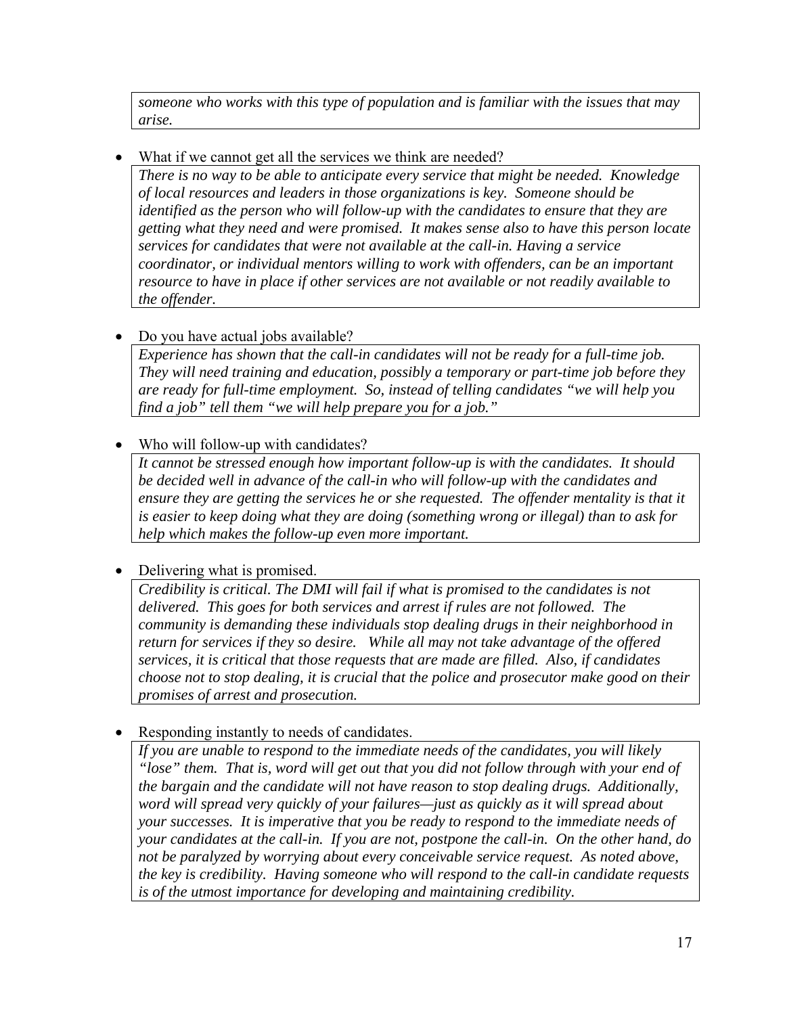*someone who works with this type of population and is familiar with the issues that may arise.* 

What if we cannot get all the services we think are needed?

*There is no way to be able to anticipate every service that might be needed. Knowledge of local resources and leaders in those organizations is key. Someone should be identified as the person who will follow-up with the candidates to ensure that they are getting what they need and were promised. It makes sense also to have this person locate services for candidates that were not available at the call-in. Having a service coordinator, or individual mentors willing to work with offenders, can be an important resource to have in place if other services are not available or not readily available to the offender.* 

• Do you have actual jobs available?

*Experience has shown that the call-in candidates will not be ready for a full-time job. They will need training and education, possibly a temporary or part-time job before they are ready for full-time employment. So, instead of telling candidates "we will help you find a job" tell them "we will help prepare you for a job."* 

• Who will follow-up with candidates?

*It cannot be stressed enough how important follow-up is with the candidates. It should be decided well in advance of the call-in who will follow-up with the candidates and ensure they are getting the services he or she requested. The offender mentality is that it is easier to keep doing what they are doing (something wrong or illegal) than to ask for help which makes the follow-up even more important.* 

• Delivering what is promised.

*Credibility is critical. The DMI will fail if what is promised to the candidates is not delivered. This goes for both services and arrest if rules are not followed. The community is demanding these individuals stop dealing drugs in their neighborhood in return for services if they so desire. While all may not take advantage of the offered services, it is critical that those requests that are made are filled. Also, if candidates choose not to stop dealing, it is crucial that the police and prosecutor make good on their promises of arrest and prosecution.* 

• Responding instantly to needs of candidates.

*If you are unable to respond to the immediate needs of the candidates, you will likely "lose" them. That is, word will get out that you did not follow through with your end of the bargain and the candidate will not have reason to stop dealing drugs. Additionally, word will spread very quickly of your failures—just as quickly as it will spread about your successes. It is imperative that you be ready to respond to the immediate needs of your candidates at the call-in. If you are not, postpone the call-in. On the other hand, do not be paralyzed by worrying about every conceivable service request. As noted above, the key is credibility. Having someone who will respond to the call-in candidate requests is of the utmost importance for developing and maintaining credibility.*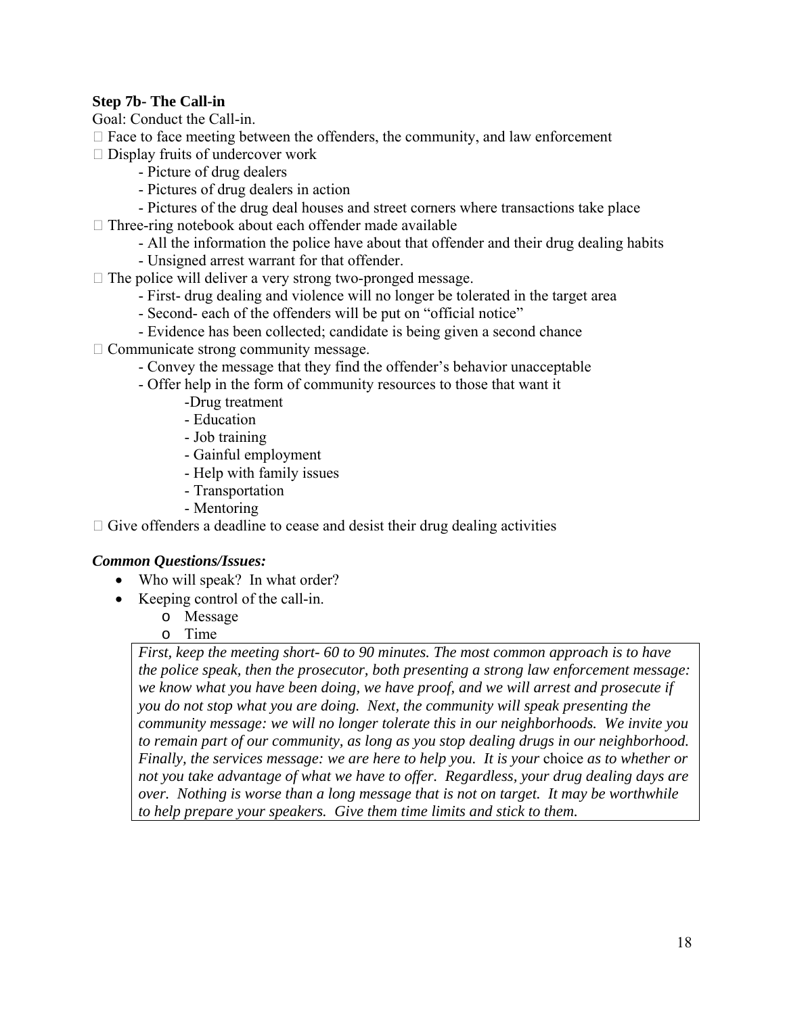## **Step 7b- The Call-in**

Goal: Conduct the Call-in.

- $\Box$  Face to face meeting between the offenders, the community, and law enforcement
- $\Box$  Display fruits of undercover work
	- Picture of drug dealers
	- Pictures of drug dealers in action
	- Pictures of the drug deal houses and street corners where transactions take place
- $\Box$  Three-ring notebook about each offender made available
	- All the information the police have about that offender and their drug dealing habits
	- Unsigned arrest warrant for that offender.
- $\Box$  The police will deliver a very strong two-pronged message.
	- First- drug dealing and violence will no longer be tolerated in the target area
	- Second- each of the offenders will be put on "official notice"
	- Evidence has been collected; candidate is being given a second chance
- $\Box$  Communicate strong community message.
	- Convey the message that they find the offender's behavior unacceptable
	- Offer help in the form of community resources to those that want it
		- -Drug treatment
		- Education
		- Job training
		- Gainful employment
		- Help with family issues
		- Transportation
		- Mentoring

 $\Box$  Give offenders a deadline to cease and desist their drug dealing activities

#### *Common Questions/Issues:*

- Who will speak? In what order?
- Keeping control of the call-in.
	- o Message
	- o Time

*First, keep the meeting short- 60 to 90 minutes. The most common approach is to have the police speak, then the prosecutor, both presenting a strong law enforcement message: we know what you have been doing, we have proof, and we will arrest and prosecute if you do not stop what you are doing. Next, the community will speak presenting the community message: we will no longer tolerate this in our neighborhoods. We invite you to remain part of our community, as long as you stop dealing drugs in our neighborhood. Finally, the services message: we are here to help you. It is your* choice *as to whether or not you take advantage of what we have to offer. Regardless, your drug dealing days are over. Nothing is worse than a long message that is not on target. It may be worthwhile to help prepare your speakers. Give them time limits and stick to them.*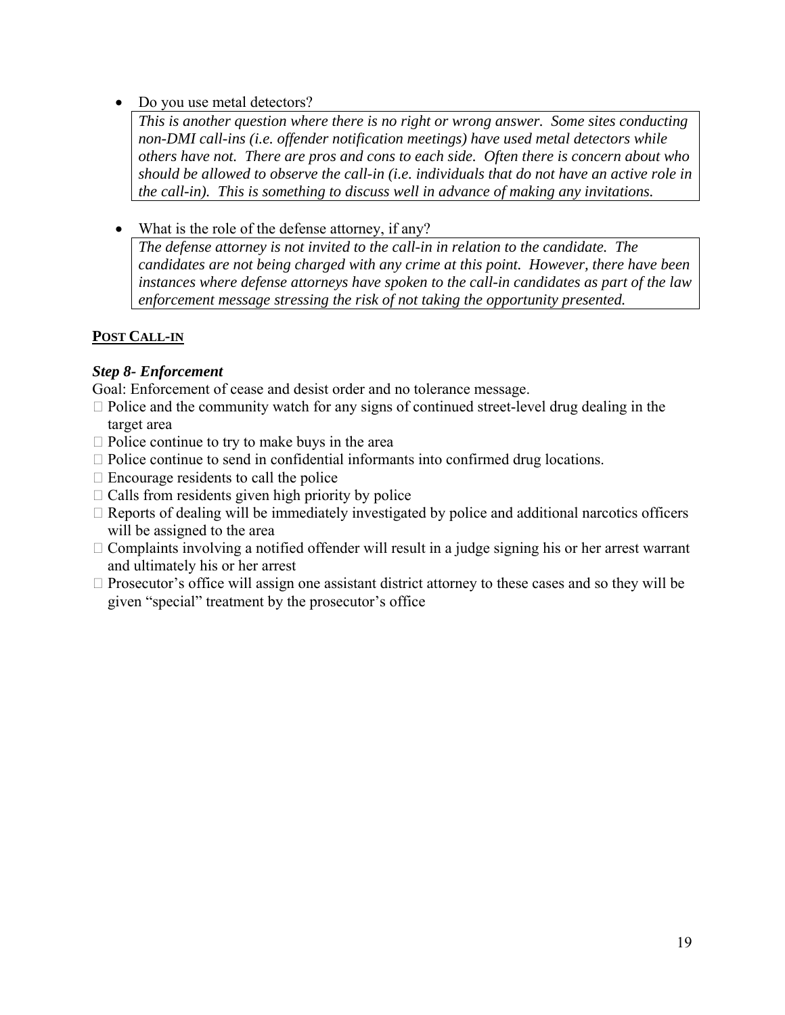• Do you use metal detectors?

*This is another question where there is no right or wrong answer. Some sites conducting non-DMI call-ins (i.e. offender notification meetings) have used metal detectors while others have not. There are pros and cons to each side. Often there is concern about who should be allowed to observe the call-in (i.e. individuals that do not have an active role in the call-in). This is something to discuss well in advance of making any invitations.* 

• What is the role of the defense attorney, if any?

*The defense attorney is not invited to the call-in in relation to the candidate. The candidates are not being charged with any crime at this point. However, there have been instances where defense attorneys have spoken to the call-in candidates as part of the law enforcement message stressing the risk of not taking the opportunity presented.* 

## **POST CALL-IN**

## *Step 8- Enforcement*

Goal: Enforcement of cease and desist order and no tolerance message.

- $\Box$  Police and the community watch for any signs of continued street-level drug dealing in the target area
- $\Box$  Police continue to try to make buys in the area
- $\Box$  Police continue to send in confidential informants into confirmed drug locations.
- $\Box$  Encourage residents to call the police
- $\Box$  Calls from residents given high priority by police
- $\Box$  Reports of dealing will be immediately investigated by police and additional narcotics officers will be assigned to the area
- $\Box$  Complaints involving a notified offender will result in a judge signing his or her arrest warrant and ultimately his or her arrest
- $\Box$  Prosecutor's office will assign one assistant district attorney to these cases and so they will be given "special" treatment by the prosecutor's office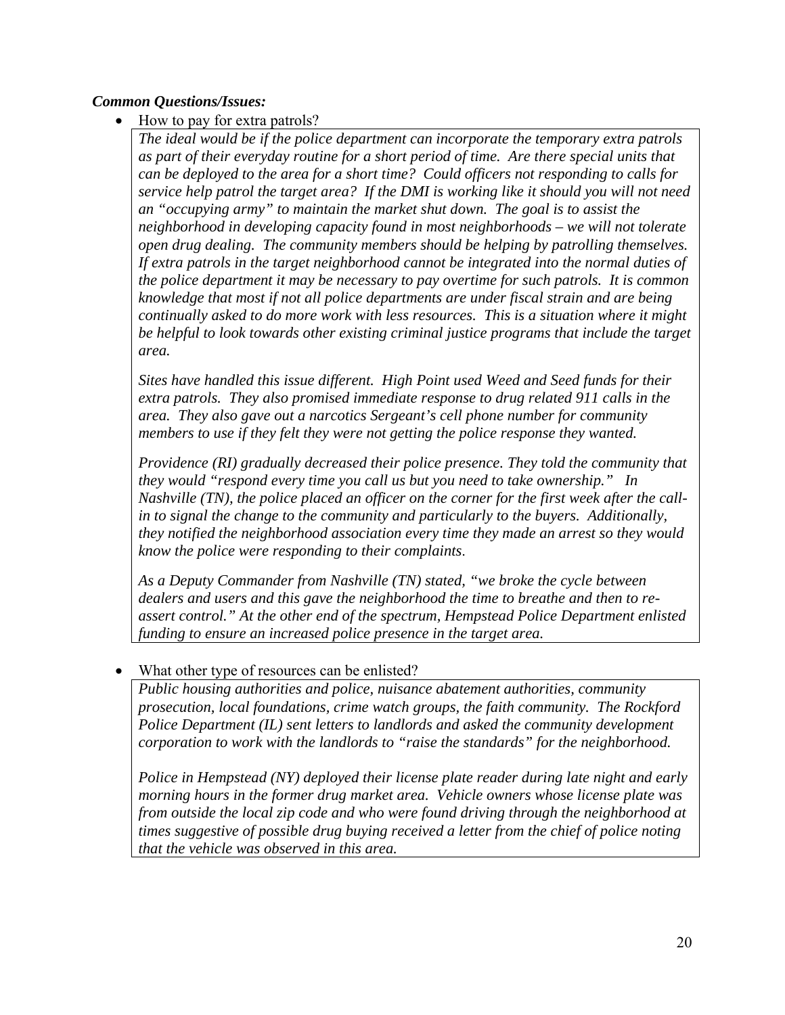## *Common Questions/Issues:*

• How to pay for extra patrols?

*The ideal would be if the police department can incorporate the temporary extra patrols as part of their everyday routine for a short period of time. Are there special units that can be deployed to the area for a short time? Could officers not responding to calls for service help patrol the target area? If the DMI is working like it should you will not need an "occupying army" to maintain the market shut down. The goal is to assist the neighborhood in developing capacity found in most neighborhoods – we will not tolerate open drug dealing. The community members should be helping by patrolling themselves. If extra patrols in the target neighborhood cannot be integrated into the normal duties of the police department it may be necessary to pay overtime for such patrols. It is common knowledge that most if not all police departments are under fiscal strain and are being continually asked to do more work with less resources. This is a situation where it might be helpful to look towards other existing criminal justice programs that include the target area.* 

*Sites have handled this issue different. High Point used Weed and Seed funds for their extra patrols. They also promised immediate response to drug related 911 calls in the area. They also gave out a narcotics Sergeant's cell phone number for community members to use if they felt they were not getting the police response they wanted.* 

*Providence (RI) gradually decreased their police presence. They told the community that they would "respond every time you call us but you need to take ownership." In Nashville (TN), the police placed an officer on the corner for the first week after the callin to signal the change to the community and particularly to the buyers. Additionally, they notified the neighborhood association every time they made an arrest so they would know the police were responding to their complaints*.

*As a Deputy Commander from Nashville (TN) stated, "we broke the cycle between dealers and users and this gave the neighborhood the time to breathe and then to reassert control." At the other end of the spectrum, Hempstead Police Department enlisted funding to ensure an increased police presence in the target area.*

## What other type of resources can be enlisted?

*Public housing authorities and police, nuisance abatement authorities, community prosecution, local foundations, crime watch groups, the faith community. The Rockford Police Department (IL) sent letters to landlords and asked the community development corporation to work with the landlords to "raise the standards" for the neighborhood.* 

*Police in Hempstead (NY) deployed their license plate reader during late night and early morning hours in the former drug market area. Vehicle owners whose license plate was from outside the local zip code and who were found driving through the neighborhood at times suggestive of possible drug buying received a letter from the chief of police noting that the vehicle was observed in this area.*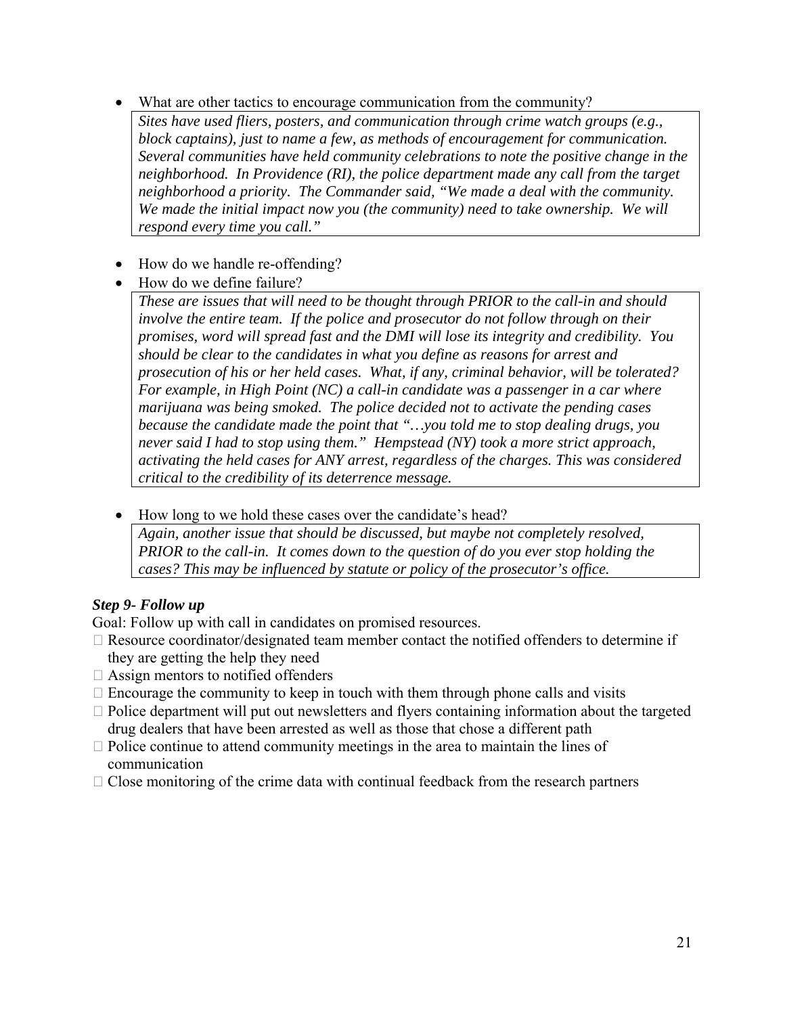- What are other tactics to encourage communication from the community?
	- *Sites have used fliers, posters, and communication through crime watch groups (e.g., block captains), just to name a few, as methods of encouragement for communication. Several communities have held community celebrations to note the positive change in the neighborhood. In Providence (RI), the police department made any call from the target neighborhood a priority. The Commander said, "We made a deal with the community. We made the initial impact now you (the community) need to take ownership. We will respond every time you call."*
- How do we handle re-offending?
- How do we define failure?

*These are issues that will need to be thought through PRIOR to the call-in and should involve the entire team. If the police and prosecutor do not follow through on their promises, word will spread fast and the DMI will lose its integrity and credibility. You should be clear to the candidates in what you define as reasons for arrest and prosecution of his or her held cases. What, if any, criminal behavior, will be tolerated? For example, in High Point (NC) a call-in candidate was a passenger in a car where marijuana was being smoked. The police decided not to activate the pending cases because the candidate made the point that "…you told me to stop dealing drugs, you never said I had to stop using them." Hempstead (NY) took a more strict approach, activating the held cases for ANY arrest, regardless of the charges. This was considered critical to the credibility of its deterrence message.* 

• How long to we hold these cases over the candidate's head?

*Again, another issue that should be discussed, but maybe not completely resolved, PRIOR to the call-in. It comes down to the question of do you ever stop holding the cases? This may be influenced by statute or policy of the prosecutor's office.* 

## *Step 9- Follow up*

Goal: Follow up with call in candidates on promised resources.

- $\Box$  Resource coordinator/designated team member contact the notified offenders to determine if they are getting the help they need
- $\Box$  Assign mentors to notified offenders
- $\Box$  Encourage the community to keep in touch with them through phone calls and visits
- $\Box$  Police department will put out newsletters and flyers containing information about the targeted drug dealers that have been arrested as well as those that chose a different path
- $\Box$  Police continue to attend community meetings in the area to maintain the lines of communication
- $\Box$  Close monitoring of the crime data with continual feedback from the research partners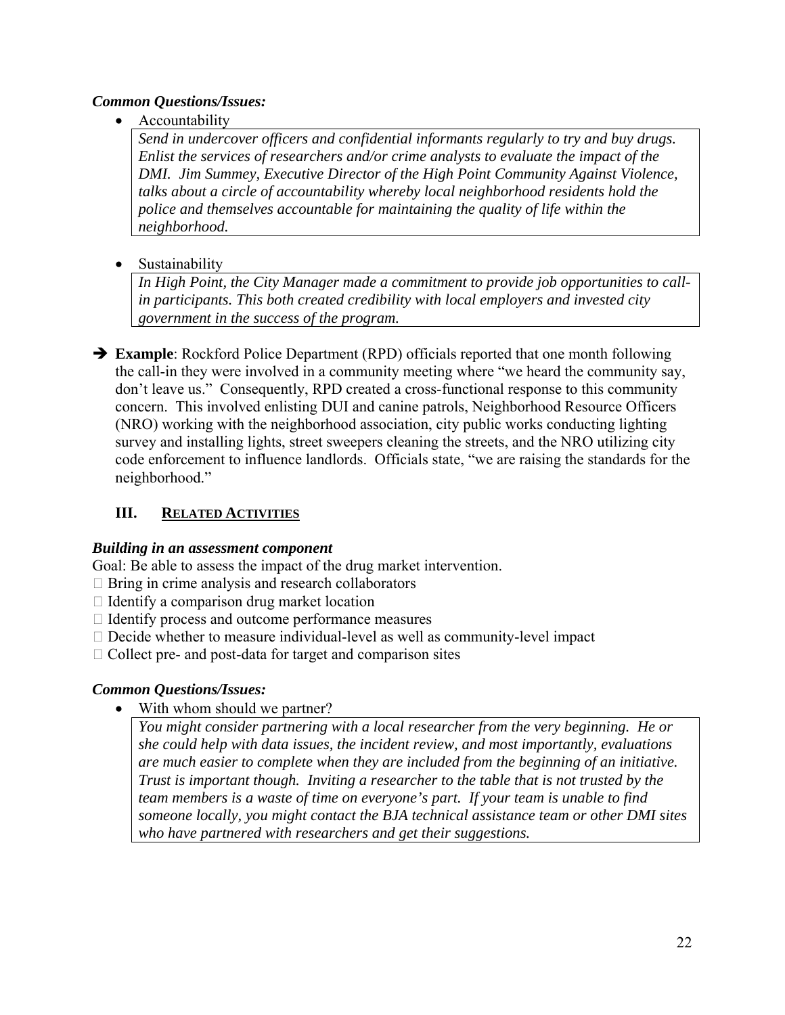#### *Common Questions/Issues:*

**Accountability** 

*Send in undercover officers and confidential informants regularly to try and buy drugs. Enlist the services of researchers and/or crime analysts to evaluate the impact of the DMI. Jim Summey, Executive Director of the High Point Community Against Violence, talks about a circle of accountability whereby local neighborhood residents hold the police and themselves accountable for maintaining the quality of life within the neighborhood.* 

• Sustainability

*In High Point, the City Manager made a commitment to provide job opportunities to callin participants. This both created credibility with local employers and invested city government in the success of the program.* 

 $\rightarrow$  **Example**: Rockford Police Department (RPD) officials reported that one month following the call-in they were involved in a community meeting where "we heard the community say, don't leave us." Consequently, RPD created a cross-functional response to this community concern. This involved enlisting DUI and canine patrols, Neighborhood Resource Officers (NRO) working with the neighborhood association, city public works conducting lighting survey and installing lights, street sweepers cleaning the streets, and the NRO utilizing city code enforcement to influence landlords. Officials state, "we are raising the standards for the neighborhood."

## **III. RELATED ACTIVITIES**

## *Building in an assessment component*

Goal: Be able to assess the impact of the drug market intervention.

- $\Box$  Bring in crime analysis and research collaborators
- $\Box$  Identify a comparison drug market location
- $\Box$  Identify process and outcome performance measures
- $\Box$  Decide whether to measure individual-level as well as community-level impact
- $\Box$  Collect pre- and post-data for target and comparison sites

## *Common Questions/Issues:*

• With whom should we partner?

*You might consider partnering with a local researcher from the very beginning. He or she could help with data issues, the incident review, and most importantly, evaluations are much easier to complete when they are included from the beginning of an initiative. Trust is important though. Inviting a researcher to the table that is not trusted by the team members is a waste of time on everyone's part. If your team is unable to find someone locally, you might contact the BJA technical assistance team or other DMI sites who have partnered with researchers and get their suggestions.*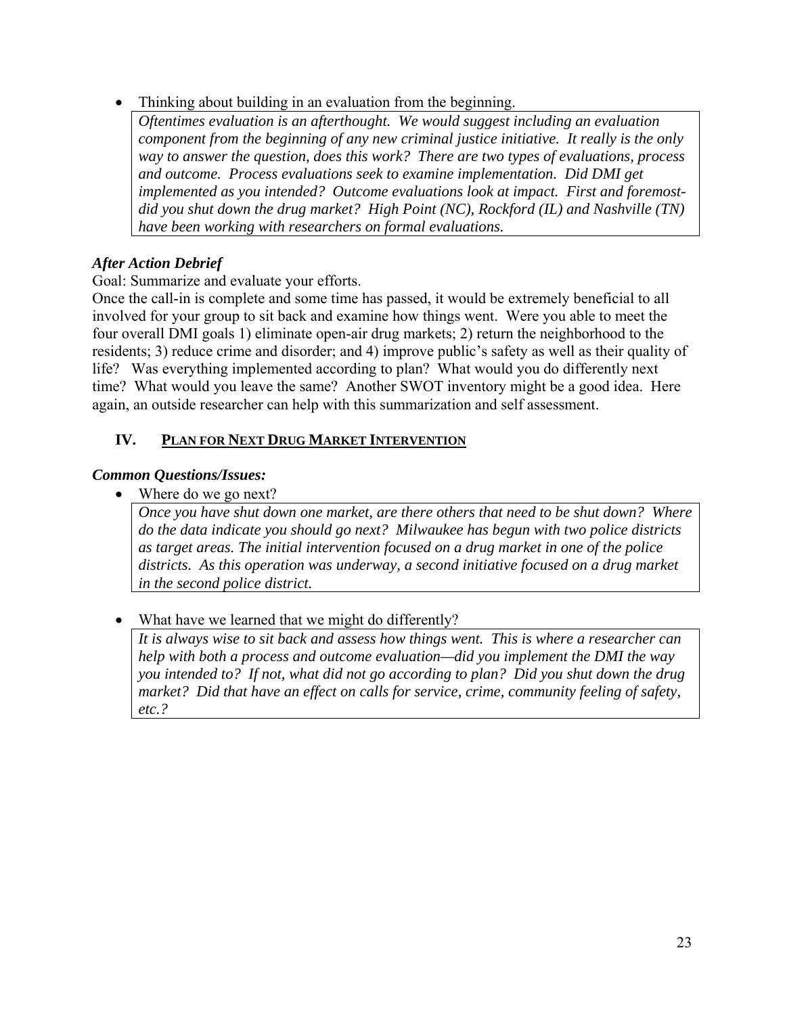• Thinking about building in an evaluation from the beginning.

*Oftentimes evaluation is an afterthought. We would suggest including an evaluation component from the beginning of any new criminal justice initiative. It really is the only way to answer the question, does this work? There are two types of evaluations, process and outcome. Process evaluations seek to examine implementation. Did DMI get implemented as you intended? Outcome evaluations look at impact. First and foremostdid you shut down the drug market? High Point (NC), Rockford (IL) and Nashville (TN) have been working with researchers on formal evaluations.* 

## *After Action Debrief*

Goal: Summarize and evaluate your efforts.

Once the call-in is complete and some time has passed, it would be extremely beneficial to all involved for your group to sit back and examine how things went. Were you able to meet the four overall DMI goals 1) eliminate open-air drug markets; 2) return the neighborhood to the residents; 3) reduce crime and disorder; and 4) improve public's safety as well as their quality of life? Was everything implemented according to plan? What would you do differently next time? What would you leave the same? Another SWOT inventory might be a good idea. Here again, an outside researcher can help with this summarization and self assessment.

## **IV. PLAN FOR NEXT DRUG MARKET INTERVENTION**

#### *Common Questions/Issues:*

• Where do we go next?

*Once you have shut down one market, are there others that need to be shut down? Where do the data indicate you should go next? Milwaukee has begun with two police districts as target areas. The initial intervention focused on a drug market in one of the police districts. As this operation was underway, a second initiative focused on a drug market in the second police district.* 

• What have we learned that we might do differently?

*It is always wise to sit back and assess how things went. This is where a researcher can help with both a process and outcome evaluation—did you implement the DMI the way you intended to? If not, what did not go according to plan? Did you shut down the drug market? Did that have an effect on calls for service, crime, community feeling of safety, etc.?*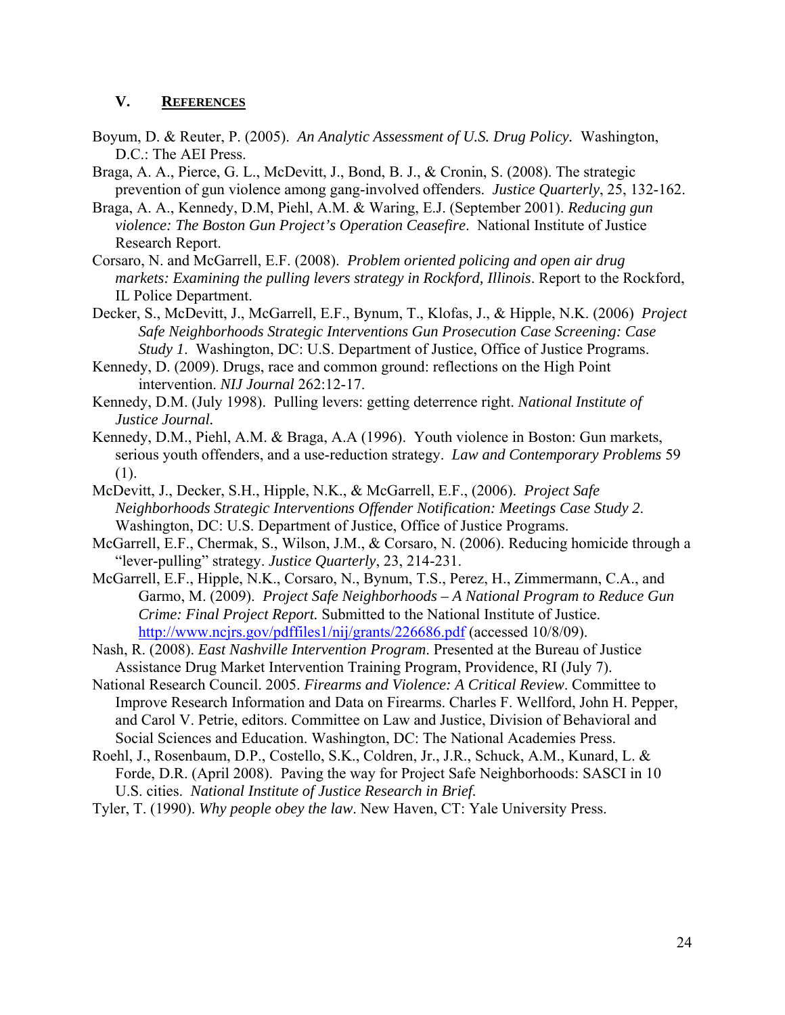#### **V. REFERENCES**

- Boyum, D. & Reuter, P. (2005). *An Analytic Assessment of U.S. Drug Policy.* Washington, D.C.: The AEI Press.
- Braga, A. A., Pierce, G. L., McDevitt, J., Bond, B. J., & Cronin, S. (2008). The strategic prevention of gun violence among gang-involved offenders. *Justice Quarterly*, 25, 132-162.
- Braga, A. A., Kennedy, D.M, Piehl, A.M. & Waring, E.J. (September 2001). *Reducing gun violence: The Boston Gun Project's Operation Ceasefire*. National Institute of Justice Research Report.
- Corsaro, N. and McGarrell, E.F. (2008). *Problem oriented policing and open air drug markets: Examining the pulling levers strategy in Rockford, Illinois*. Report to the Rockford, IL Police Department.
- Decker, S., McDevitt, J., McGarrell, E.F., Bynum, T., Klofas, J., & Hipple, N.K. (2006) *Project Safe Neighborhoods Strategic Interventions Gun Prosecution Case Screening: Case Study 1*. Washington, DC: U.S. Department of Justice, Office of Justice Programs.
- Kennedy, D. (2009). Drugs, race and common ground: reflections on the High Point intervention. *NIJ Journal* 262:12-17.
- Kennedy, D.M. (July 1998). Pulling levers: getting deterrence right. *National Institute of Justice Journal.*
- Kennedy, D.M., Piehl, A.M. & Braga, A.A (1996). Youth violence in Boston: Gun markets, serious youth offenders, and a use-reduction strategy. *Law and Contemporary Problems* 59 (1).
- McDevitt, J., Decker, S.H., Hipple, N.K., & McGarrell, E.F., (2006). *Project Safe Neighborhoods Strategic Interventions Offender Notification: Meetings Case Study 2*. Washington, DC: U.S. Department of Justice, Office of Justice Programs.
- McGarrell, E.F., Chermak, S., Wilson, J.M., & Corsaro, N. (2006). Reducing homicide through a "lever-pulling" strategy. *Justice Quarterly*, 23, 214-231.
- McGarrell, E.F., Hipple, N.K., Corsaro, N., Bynum, T.S., Perez, H., Zimmermann, C.A., and Garmo, M. (2009). *Project Safe Neighborhoods – A National Program to Reduce Gun Crime: Final Project Report.* Submitted to the National Institute of Justice. http://www.ncjrs.gov/pdffiles1/nij/grants/226686.pdf (accessed 10/8/09).
- Nash, R. (2008). *East Nashville Intervention Program*. Presented at the Bureau of Justice Assistance Drug Market Intervention Training Program, Providence, RI (July 7).
- National Research Council. 2005. *Firearms and Violence: A Critical Review*. Committee to Improve Research Information and Data on Firearms. Charles F. Wellford, John H. Pepper, and Carol V. Petrie, editors. Committee on Law and Justice, Division of Behavioral and Social Sciences and Education. Washington, DC: The National Academies Press.
- Roehl, J., Rosenbaum, D.P., Costello, S.K., Coldren, Jr., J.R., Schuck, A.M., Kunard, L. & Forde, D.R. (April 2008). Paving the way for Project Safe Neighborhoods: SASCI in 10 U.S. cities. *National Institute of Justice Research in Brief.*
- Tyler, T. (1990). *Why people obey the law*. New Haven, CT: Yale University Press.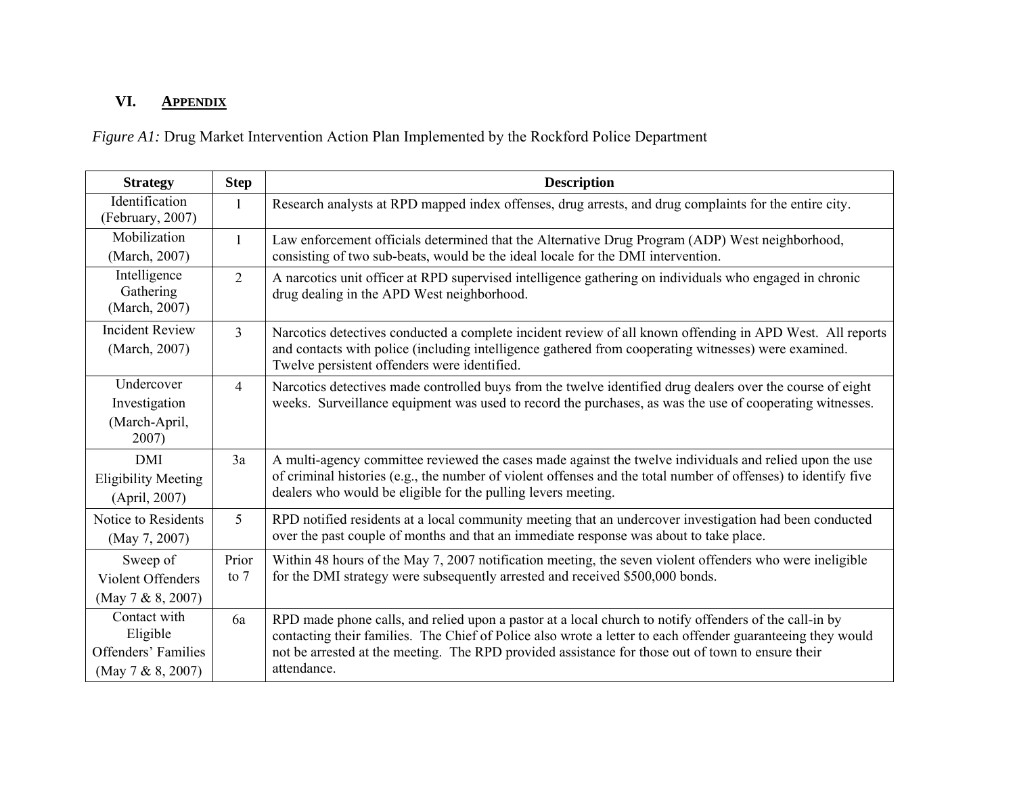#### **VI.APPENDIX**

*Figure A1:* Drug Market Intervention Action Plan Implemented by the Rockford Police Department

| <b>Strategy</b>                                                      | <b>Step</b>     | <b>Description</b>                                                                                                                                                                                                                                                                                                                        |  |  |  |
|----------------------------------------------------------------------|-----------------|-------------------------------------------------------------------------------------------------------------------------------------------------------------------------------------------------------------------------------------------------------------------------------------------------------------------------------------------|--|--|--|
| Identification<br>(February, 2007)                                   | 1               | Research analysts at RPD mapped index offenses, drug arrests, and drug complaints for the entire city.                                                                                                                                                                                                                                    |  |  |  |
| Mobilization<br>(March, 2007)                                        | 1               | Law enforcement officials determined that the Alternative Drug Program (ADP) West neighborhood,<br>consisting of two sub-beats, would be the ideal locale for the DMI intervention.                                                                                                                                                       |  |  |  |
| Intelligence<br>Gathering<br>(March, 2007)                           | $\overline{2}$  | A narcotics unit officer at RPD supervised intelligence gathering on individuals who engaged in chronic<br>drug dealing in the APD West neighborhood.                                                                                                                                                                                     |  |  |  |
| <b>Incident Review</b><br>(March, 2007)                              | $\overline{3}$  | Narcotics detectives conducted a complete incident review of all known offending in APD West. All reports<br>and contacts with police (including intelligence gathered from cooperating witnesses) were examined.<br>Twelve persistent offenders were identified.                                                                         |  |  |  |
| Undercover<br>Investigation<br>(March-April,<br>2007)                | $\overline{4}$  | Narcotics detectives made controlled buys from the twelve identified drug dealers over the course of eight<br>weeks. Surveillance equipment was used to record the purchases, as was the use of cooperating witnesses.                                                                                                                    |  |  |  |
| <b>DMI</b><br><b>Eligibility Meeting</b><br>(April, 2007)            | 3a              | A multi-agency committee reviewed the cases made against the twelve individuals and relied upon the use<br>of criminal histories (e.g., the number of violent offenses and the total number of offenses) to identify five<br>dealers who would be eligible for the pulling levers meeting.                                                |  |  |  |
| Notice to Residents<br>(May 7, 2007)                                 | 5               | RPD notified residents at a local community meeting that an undercover investigation had been conducted<br>over the past couple of months and that an immediate response was about to take place.                                                                                                                                         |  |  |  |
| Sweep of<br>Violent Offenders<br>(May 7 & 8, 2007)                   | Prior<br>to $7$ | Within 48 hours of the May 7, 2007 notification meeting, the seven violent offenders who were ineligible<br>for the DMI strategy were subsequently arrested and received \$500,000 bonds.                                                                                                                                                 |  |  |  |
| Contact with<br>Eligible<br>Offenders' Families<br>(May 7 & 8, 2007) | 6a              | RPD made phone calls, and relied upon a pastor at a local church to notify offenders of the call-in by<br>contacting their families. The Chief of Police also wrote a letter to each offender guaranteeing they would<br>not be arrested at the meeting. The RPD provided assistance for those out of town to ensure their<br>attendance. |  |  |  |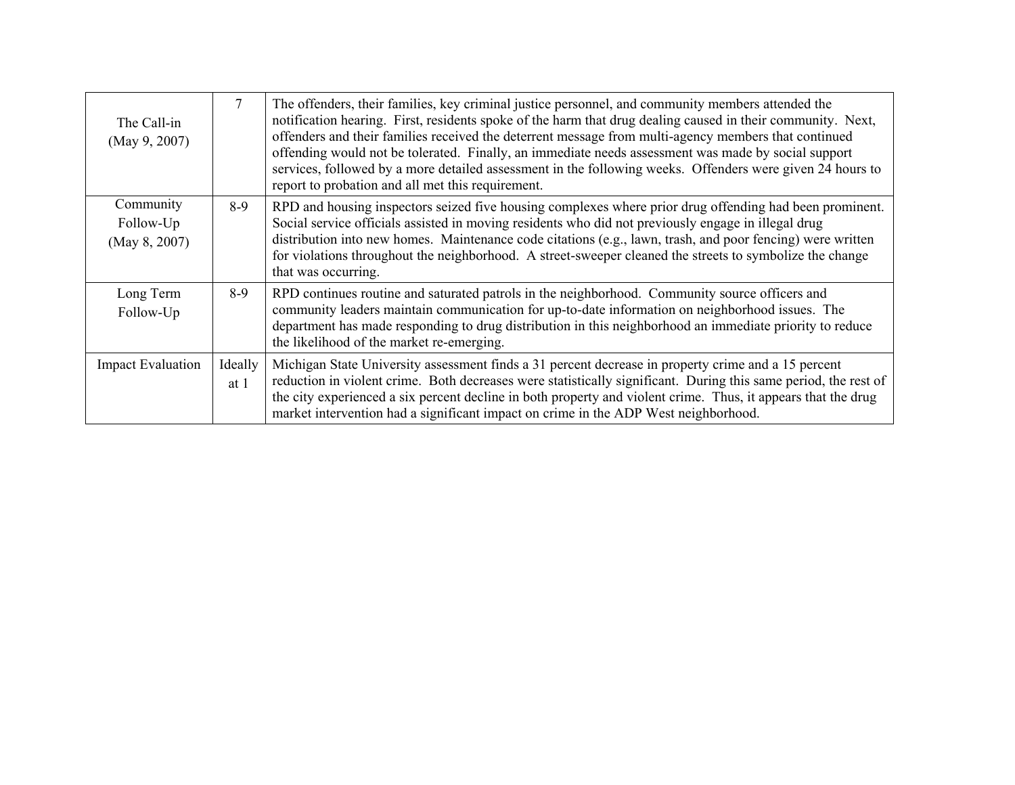| The Call-in<br>(May 9, 2007)            | 7               | The offenders, their families, key criminal justice personnel, and community members attended the<br>notification hearing. First, residents spoke of the harm that drug dealing caused in their community. Next,<br>offenders and their families received the deterrent message from multi-agency members that continued<br>offending would not be tolerated. Finally, an immediate needs assessment was made by social support<br>services, followed by a more detailed assessment in the following weeks. Offenders were given 24 hours to<br>report to probation and all met this requirement. |
|-----------------------------------------|-----------------|---------------------------------------------------------------------------------------------------------------------------------------------------------------------------------------------------------------------------------------------------------------------------------------------------------------------------------------------------------------------------------------------------------------------------------------------------------------------------------------------------------------------------------------------------------------------------------------------------|
| Community<br>Follow-Up<br>(May 8, 2007) | $8-9$           | RPD and housing inspectors seized five housing complexes where prior drug offending had been prominent.<br>Social service officials assisted in moving residents who did not previously engage in illegal drug<br>distribution into new homes. Maintenance code citations (e.g., lawn, trash, and poor fencing) were written<br>for violations throughout the neighborhood. A street-sweeper cleaned the streets to symbolize the change<br>that was occurring.                                                                                                                                   |
| Long Term<br>Follow-Up                  | $8-9$           | RPD continues routine and saturated patrols in the neighborhood. Community source officers and<br>community leaders maintain communication for up-to-date information on neighborhood issues. The<br>department has made responding to drug distribution in this neighborhood an immediate priority to reduce<br>the likelihood of the market re-emerging.                                                                                                                                                                                                                                        |
| <b>Impact Evaluation</b>                | Ideally<br>at 1 | Michigan State University assessment finds a 31 percent decrease in property crime and a 15 percent<br>reduction in violent crime. Both decreases were statistically significant. During this same period, the rest of<br>the city experienced a six percent decline in both property and violent crime. Thus, it appears that the drug<br>market intervention had a significant impact on crime in the ADP West neighborhood.                                                                                                                                                                    |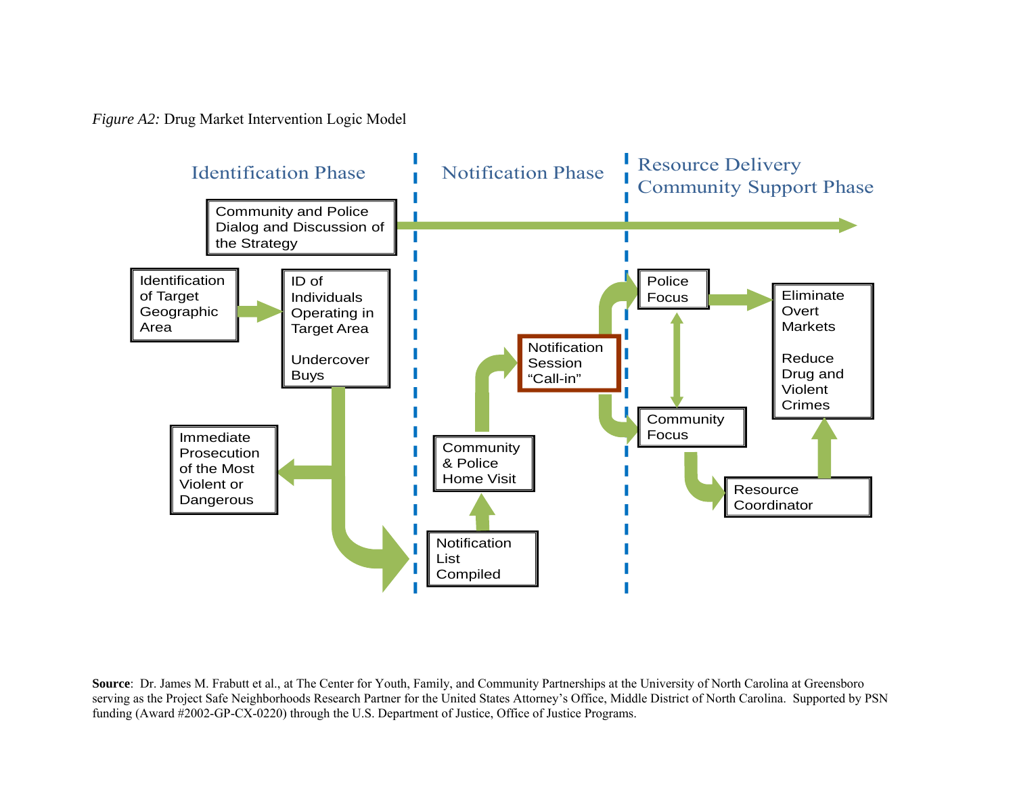*Figure A2:* Drug Market Intervention Logic Model



**Source**: Dr. James M. Frabutt et al., at The Center for Youth, Family, and Community Partnerships at the University of North Carolina at Greensboro serving as the Project Safe Neighborhoods Research Partner for the United States Attorney's Office, Middle District of North Carolina. Supported by PSN funding (Award #2002-GP-CX-0220) through the U.S. Department of Justice, Office of Justice Programs.